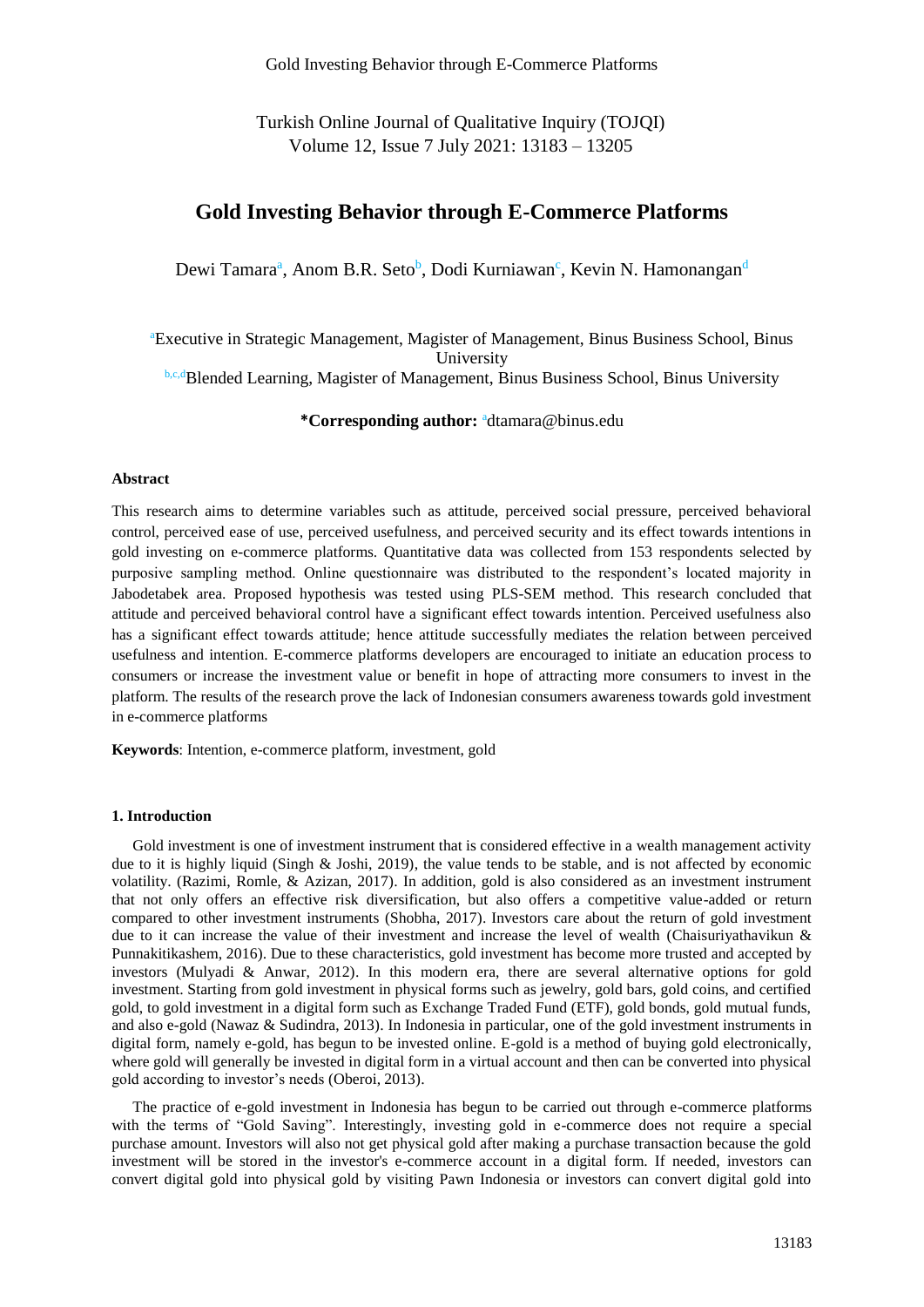Turkish Online Journal of Qualitative Inquiry (TOJQI) Volume 12, Issue 7 July 2021: 13183 – 13205

# **Gold Investing Behavior through E-Commerce Platforms**

Dewi Tamara<sup>a</sup>, Anom B.R. Seto<sup>b</sup>, Dodi Kurniawan<sup>c</sup>, Kevin N. Hamonangan<sup>d</sup>

<sup>a</sup>Executive in Strategic Management, Magister of Management, Binus Business School, Binus University **b,c,dBlended Learning, Magister of Management, Binus Business School, Binus University** 

**\*Corresponding author:** <sup>a</sup>dtamara@binus.edu

### **Abstract**

This research aims to determine variables such as attitude, perceived social pressure, perceived behavioral control, perceived ease of use, perceived usefulness, and perceived security and its effect towards intentions in gold investing on e-commerce platforms. Quantitative data was collected from 153 respondents selected by purposive sampling method. Online questionnaire was distributed to the respondent's located majority in Jabodetabek area. Proposed hypothesis was tested using PLS-SEM method. This research concluded that attitude and perceived behavioral control have a significant effect towards intention. Perceived usefulness also has a significant effect towards attitude; hence attitude successfully mediates the relation between perceived usefulness and intention. E-commerce platforms developers are encouraged to initiate an education process to consumers or increase the investment value or benefit in hope of attracting more consumers to invest in the platform. The results of the research prove the lack of Indonesian consumers awareness towards gold investment in e-commerce platforms

**Keywords**: Intention, e-commerce platform, investment, gold

# **1. Introduction**

Gold investment is one of investment instrument that is considered effective in a wealth management activity due to it is highly liquid (Singh & Joshi, 2019), the value tends to be stable, and is not affected by economic volatility. (Razimi, Romle, & Azizan, 2017). In addition, gold is also considered as an investment instrument that not only offers an effective risk diversification, but also offers a competitive value-added or return compared to other investment instruments (Shobha, 2017). Investors care about the return of gold investment due to it can increase the value of their investment and increase the level of wealth (Chaisuriyathavikun & Punnakitikashem, 2016). Due to these characteristics, gold investment has become more trusted and accepted by investors (Mulyadi & Anwar, 2012). In this modern era, there are several alternative options for gold investment. Starting from gold investment in physical forms such as jewelry, gold bars, gold coins, and certified gold, to gold investment in a digital form such as Exchange Traded Fund (ETF), gold bonds, gold mutual funds, and also e-gold (Nawaz & Sudindra, 2013). In Indonesia in particular, one of the gold investment instruments in digital form, namely e-gold, has begun to be invested online. E-gold is a method of buying gold electronically, where gold will generally be invested in digital form in a virtual account and then can be converted into physical gold according to investor's needs (Oberoi, 2013).

The practice of e-gold investment in Indonesia has begun to be carried out through e-commerce platforms with the terms of "Gold Saving". Interestingly, investing gold in e-commerce does not require a special purchase amount. Investors will also not get physical gold after making a purchase transaction because the gold investment will be stored in the investor's e-commerce account in a digital form. If needed, investors can convert digital gold into physical gold by visiting Pawn Indonesia or investors can convert digital gold into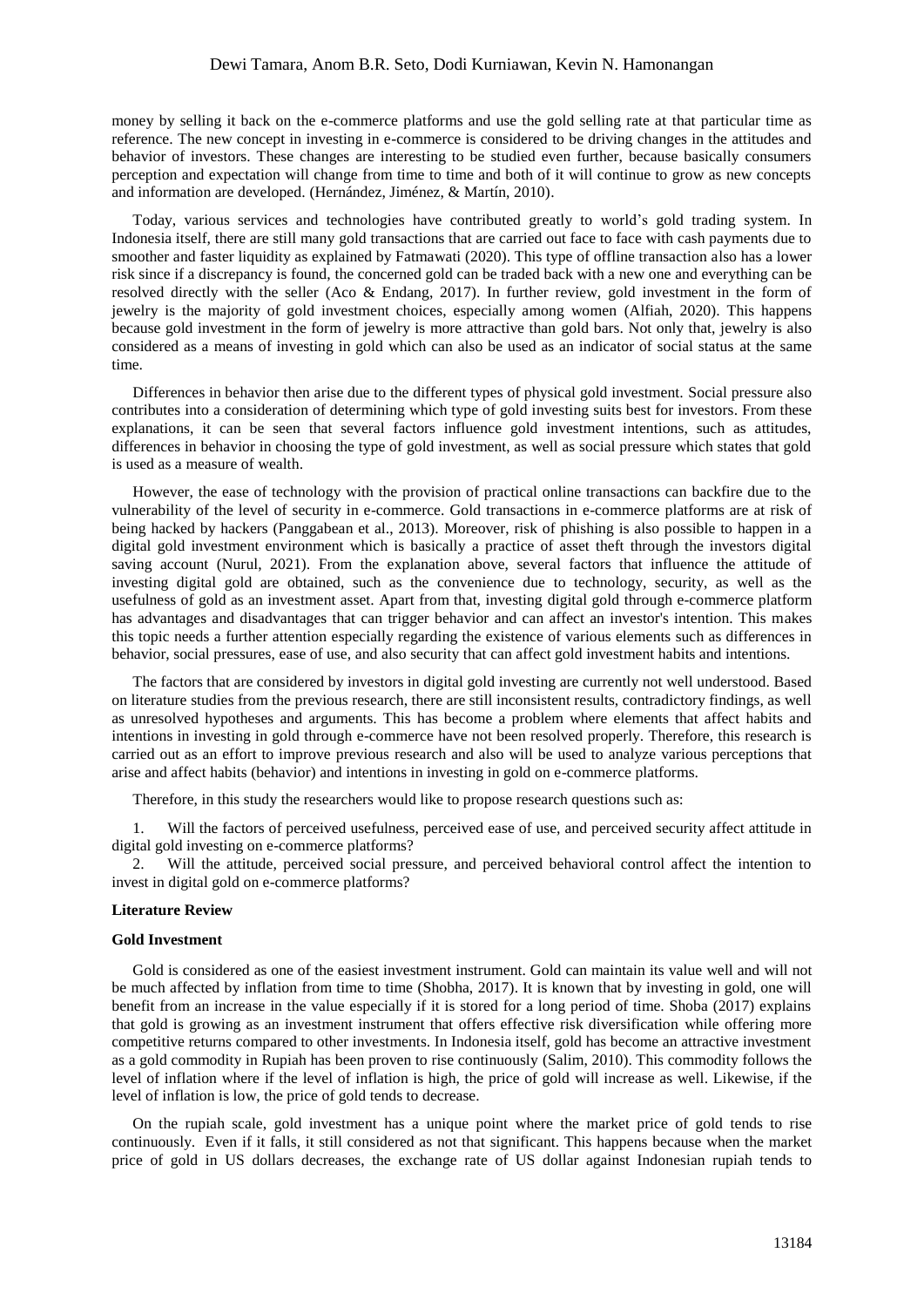money by selling it back on the e-commerce platforms and use the gold selling rate at that particular time as reference. The new concept in investing in e-commerce is considered to be driving changes in the attitudes and behavior of investors. These changes are interesting to be studied even further, because basically consumers perception and expectation will change from time to time and both of it will continue to grow as new concepts and information are developed. (Hernández, Jiménez, & Martín, 2010).

Today, various services and technologies have contributed greatly to world's gold trading system. In Indonesia itself, there are still many gold transactions that are carried out face to face with cash payments due to smoother and faster liquidity as explained by Fatmawati (2020). This type of offline transaction also has a lower risk since if a discrepancy is found, the concerned gold can be traded back with a new one and everything can be resolved directly with the seller (Aco & Endang, 2017). In further review, gold investment in the form of jewelry is the majority of gold investment choices, especially among women (Alfiah, 2020). This happens because gold investment in the form of jewelry is more attractive than gold bars. Not only that, jewelry is also considered as a means of investing in gold which can also be used as an indicator of social status at the same time.

Differences in behavior then arise due to the different types of physical gold investment. Social pressure also contributes into a consideration of determining which type of gold investing suits best for investors. From these explanations, it can be seen that several factors influence gold investment intentions, such as attitudes, differences in behavior in choosing the type of gold investment, as well as social pressure which states that gold is used as a measure of wealth.

However, the ease of technology with the provision of practical online transactions can backfire due to the vulnerability of the level of security in e-commerce. Gold transactions in e-commerce platforms are at risk of being hacked by hackers (Panggabean et al., 2013). Moreover, risk of phishing is also possible to happen in a digital gold investment environment which is basically a practice of asset theft through the investors digital saving account (Nurul, 2021). From the explanation above, several factors that influence the attitude of investing digital gold are obtained, such as the convenience due to technology, security, as well as the usefulness of gold as an investment asset. Apart from that, investing digital gold through e-commerce platform has advantages and disadvantages that can trigger behavior and can affect an investor's intention. This makes this topic needs a further attention especially regarding the existence of various elements such as differences in behavior, social pressures, ease of use, and also security that can affect gold investment habits and intentions.

The factors that are considered by investors in digital gold investing are currently not well understood. Based on literature studies from the previous research, there are still inconsistent results, contradictory findings, as well as unresolved hypotheses and arguments. This has become a problem where elements that affect habits and intentions in investing in gold through e-commerce have not been resolved properly. Therefore, this research is carried out as an effort to improve previous research and also will be used to analyze various perceptions that arise and affect habits (behavior) and intentions in investing in gold on e-commerce platforms.

Therefore, in this study the researchers would like to propose research questions such as:

1. Will the factors of perceived usefulness, perceived ease of use, and perceived security affect attitude in digital gold investing on e-commerce platforms?

2. Will the attitude, perceived social pressure, and perceived behavioral control affect the intention to invest in digital gold on e-commerce platforms?

### **Literature Review**

### **Gold Investment**

Gold is considered as one of the easiest investment instrument. Gold can maintain its value well and will not be much affected by inflation from time to time (Shobha, 2017). It is known that by investing in gold, one will benefit from an increase in the value especially if it is stored for a long period of time. Shoba (2017) explains that gold is growing as an investment instrument that offers effective risk diversification while offering more competitive returns compared to other investments. In Indonesia itself, gold has become an attractive investment as a gold commodity in Rupiah has been proven to rise continuously (Salim, 2010). This commodity follows the level of inflation where if the level of inflation is high, the price of gold will increase as well. Likewise, if the level of inflation is low, the price of gold tends to decrease.

On the rupiah scale, gold investment has a unique point where the market price of gold tends to rise continuously. Even if it falls, it still considered as not that significant. This happens because when the market price of gold in US dollars decreases, the exchange rate of US dollar against Indonesian rupiah tends to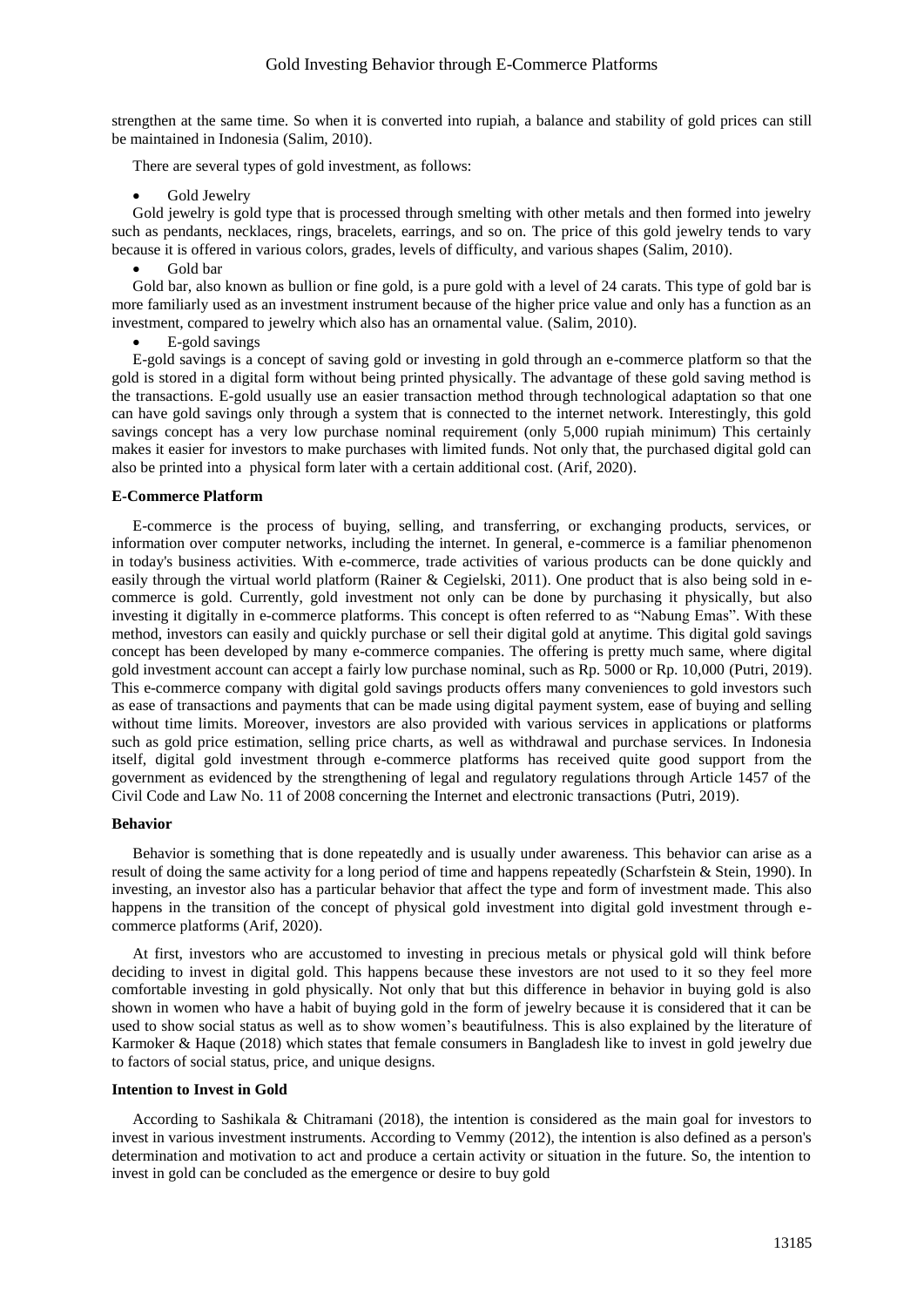strengthen at the same time. So when it is converted into rupiah, a balance and stability of gold prices can still be maintained in Indonesia (Salim, 2010).

There are several types of gold investment, as follows:

Gold Jewelry

Gold jewelry is gold type that is processed through smelting with other metals and then formed into jewelry such as pendants, necklaces, rings, bracelets, earrings, and so on. The price of this gold jewelry tends to vary because it is offered in various colors, grades, levels of difficulty, and various shapes (Salim, 2010).

Gold bar

Gold bar, also known as bullion or fine gold, is a pure gold with a level of 24 carats. This type of gold bar is more familiarly used as an investment instrument because of the higher price value and only has a function as an investment, compared to jewelry which also has an ornamental value. (Salim, 2010).

E-gold savings

E-gold savings is a concept of saving gold or investing in gold through an e-commerce platform so that the gold is stored in a digital form without being printed physically. The advantage of these gold saving method is the transactions. E-gold usually use an easier transaction method through technological adaptation so that one can have gold savings only through a system that is connected to the internet network. Interestingly, this gold savings concept has a very low purchase nominal requirement (only 5,000 rupiah minimum) This certainly makes it easier for investors to make purchases with limited funds. Not only that, the purchased digital gold can also be printed into a physical form later with a certain additional cost. (Arif, 2020).

### **E-Commerce Platform**

E-commerce is the process of buying, selling, and transferring, or exchanging products, services, or information over computer networks, including the internet. In general, e-commerce is a familiar phenomenon in today's business activities. With e-commerce, trade activities of various products can be done quickly and easily through the virtual world platform (Rainer & Cegielski, 2011). One product that is also being sold in ecommerce is gold. Currently, gold investment not only can be done by purchasing it physically, but also investing it digitally in e-commerce platforms. This concept is often referred to as "Nabung Emas". With these method, investors can easily and quickly purchase or sell their digital gold at anytime. This digital gold savings concept has been developed by many e-commerce companies. The offering is pretty much same, where digital gold investment account can accept a fairly low purchase nominal, such as Rp. 5000 or Rp. 10,000 (Putri, 2019). This e-commerce company with digital gold savings products offers many conveniences to gold investors such as ease of transactions and payments that can be made using digital payment system, ease of buying and selling without time limits. Moreover, investors are also provided with various services in applications or platforms such as gold price estimation, selling price charts, as well as withdrawal and purchase services. In Indonesia itself, digital gold investment through e-commerce platforms has received quite good support from the government as evidenced by the strengthening of legal and regulatory regulations through Article 1457 of the Civil Code and Law No. 11 of 2008 concerning the Internet and electronic transactions (Putri, 2019).

# **Behavior**

Behavior is something that is done repeatedly and is usually under awareness. This behavior can arise as a result of doing the same activity for a long period of time and happens repeatedly (Scharfstein & Stein, 1990). In investing, an investor also has a particular behavior that affect the type and form of investment made. This also happens in the transition of the concept of physical gold investment into digital gold investment through ecommerce platforms (Arif, 2020).

At first, investors who are accustomed to investing in precious metals or physical gold will think before deciding to invest in digital gold. This happens because these investors are not used to it so they feel more comfortable investing in gold physically. Not only that but this difference in behavior in buying gold is also shown in women who have a habit of buying gold in the form of jewelry because it is considered that it can be used to show social status as well as to show women's beautifulness. This is also explained by the literature of Karmoker & Haque (2018) which states that female consumers in Bangladesh like to invest in gold jewelry due to factors of social status, price, and unique designs.

# **Intention to Invest in Gold**

According to Sashikala & Chitramani (2018), the intention is considered as the main goal for investors to invest in various investment instruments. According to Vemmy (2012), the intention is also defined as a person's determination and motivation to act and produce a certain activity or situation in the future. So, the intention to invest in gold can be concluded as the emergence or desire to buy gold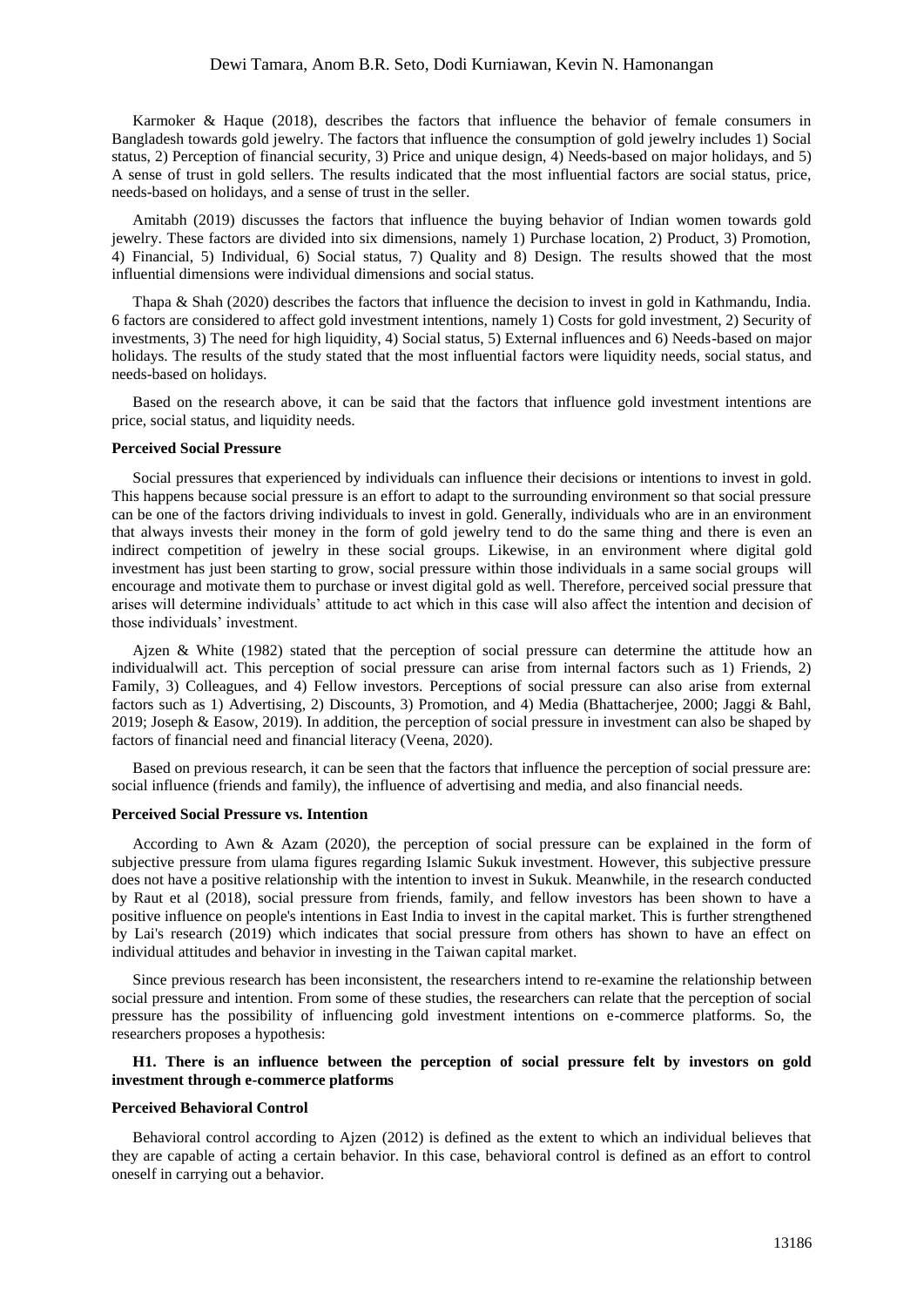Karmoker & Haque (2018), describes the factors that influence the behavior of female consumers in Bangladesh towards gold jewelry. The factors that influence the consumption of gold jewelry includes 1) Social status, 2) Perception of financial security, 3) Price and unique design, 4) Needs-based on major holidays, and 5) A sense of trust in gold sellers. The results indicated that the most influential factors are social status, price, needs-based on holidays, and a sense of trust in the seller.

Amitabh (2019) discusses the factors that influence the buying behavior of Indian women towards gold jewelry. These factors are divided into six dimensions, namely 1) Purchase location, 2) Product, 3) Promotion, 4) Financial, 5) Individual, 6) Social status, 7) Quality and 8) Design. The results showed that the most influential dimensions were individual dimensions and social status.

Thapa & Shah (2020) describes the factors that influence the decision to invest in gold in Kathmandu, India. 6 factors are considered to affect gold investment intentions, namely 1) Costs for gold investment, 2) Security of investments, 3) The need for high liquidity, 4) Social status, 5) External influences and 6) Needs-based on major holidays. The results of the study stated that the most influential factors were liquidity needs, social status, and needs-based on holidays.

Based on the research above, it can be said that the factors that influence gold investment intentions are price, social status, and liquidity needs.

# **Perceived Social Pressure**

Social pressures that experienced by individuals can influence their decisions or intentions to invest in gold. This happens because social pressure is an effort to adapt to the surrounding environment so that social pressure can be one of the factors driving individuals to invest in gold. Generally, individuals who are in an environment that always invests their money in the form of gold jewelry tend to do the same thing and there is even an indirect competition of jewelry in these social groups. Likewise, in an environment where digital gold investment has just been starting to grow, social pressure within those individuals in a same social groups will encourage and motivate them to purchase or invest digital gold as well. Therefore, perceived social pressure that arises will determine individuals' attitude to act which in this case will also affect the intention and decision of those individuals' investment.

Ajzen & White (1982) stated that the perception of social pressure can determine the attitude how an individualwill act. This perception of social pressure can arise from internal factors such as 1) Friends, 2) Family, 3) Colleagues, and 4) Fellow investors. Perceptions of social pressure can also arise from external factors such as 1) Advertising, 2) Discounts, 3) Promotion, and 4) Media (Bhattacherjee, 2000; Jaggi & Bahl, 2019; Joseph & Easow, 2019). In addition, the perception of social pressure in investment can also be shaped by factors of financial need and financial literacy (Veena, 2020).

Based on previous research, it can be seen that the factors that influence the perception of social pressure are: social influence (friends and family), the influence of advertising and media, and also financial needs.

### **Perceived Social Pressure vs. Intention**

According to Awn & Azam (2020), the perception of social pressure can be explained in the form of subjective pressure from ulama figures regarding Islamic Sukuk investment. However, this subjective pressure does not have a positive relationship with the intention to invest in Sukuk. Meanwhile, in the research conducted by Raut et al (2018), social pressure from friends, family, and fellow investors has been shown to have a positive influence on people's intentions in East India to invest in the capital market. This is further strengthened by Lai's research (2019) which indicates that social pressure from others has shown to have an effect on individual attitudes and behavior in investing in the Taiwan capital market.

Since previous research has been inconsistent, the researchers intend to re-examine the relationship between social pressure and intention. From some of these studies, the researchers can relate that the perception of social pressure has the possibility of influencing gold investment intentions on e-commerce platforms. So, the researchers proposes a hypothesis:

# **H1. There is an influence between the perception of social pressure felt by investors on gold investment through e-commerce platforms**

# **Perceived Behavioral Control**

Behavioral control according to Ajzen (2012) is defined as the extent to which an individual believes that they are capable of acting a certain behavior. In this case, behavioral control is defined as an effort to control oneself in carrying out a behavior.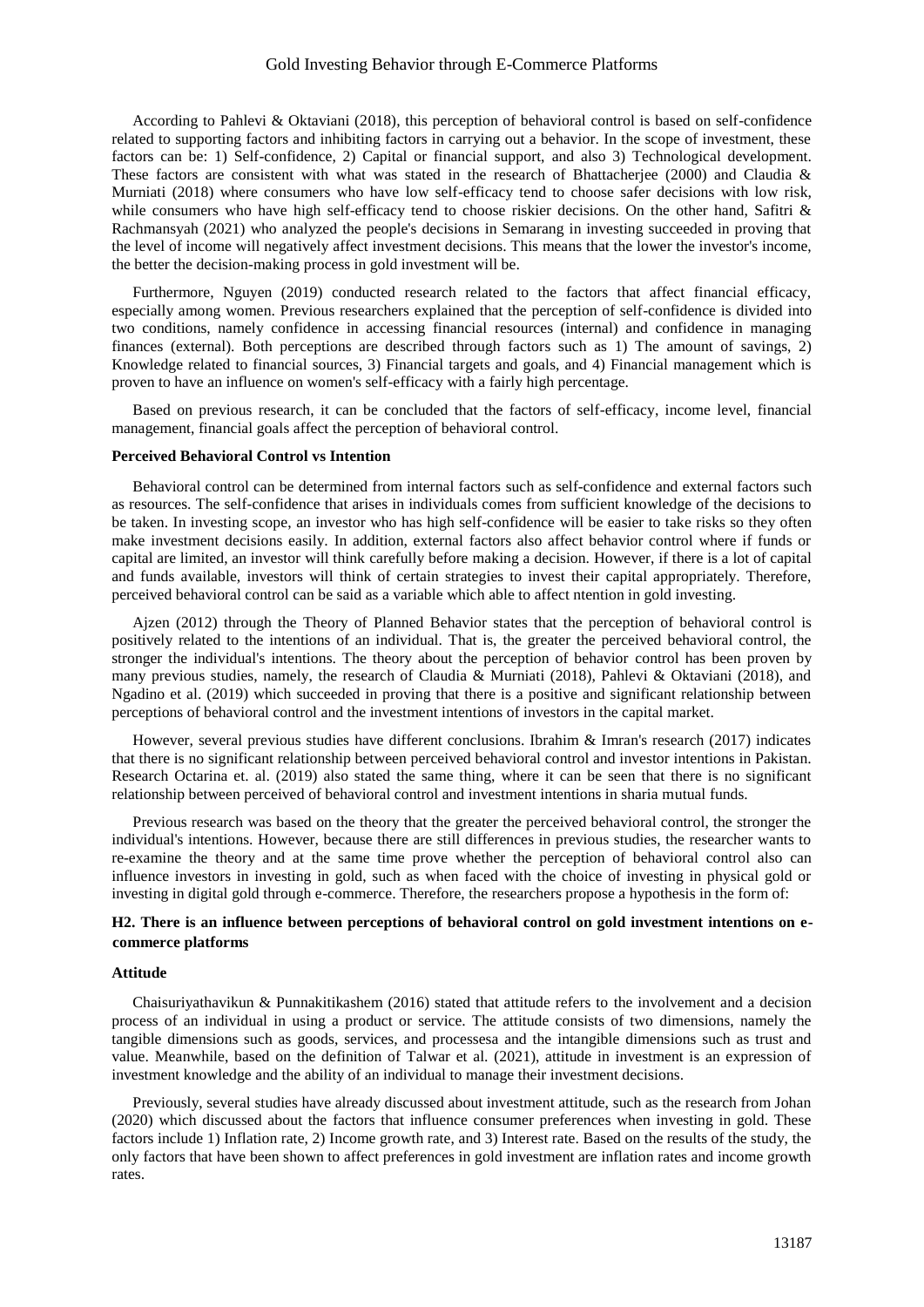According to Pahlevi & Oktaviani (2018), this perception of behavioral control is based on self-confidence related to supporting factors and inhibiting factors in carrying out a behavior. In the scope of investment, these factors can be: 1) Self-confidence, 2) Capital or financial support, and also 3) Technological development. These factors are consistent with what was stated in the research of Bhattacherjee (2000) and Claudia & Murniati (2018) where consumers who have low self-efficacy tend to choose safer decisions with low risk, while consumers who have high self-efficacy tend to choose riskier decisions. On the other hand, Safitri & Rachmansyah (2021) who analyzed the people's decisions in Semarang in investing succeeded in proving that the level of income will negatively affect investment decisions. This means that the lower the investor's income, the better the decision-making process in gold investment will be.

Furthermore, Nguyen (2019) conducted research related to the factors that affect financial efficacy, especially among women. Previous researchers explained that the perception of self-confidence is divided into two conditions, namely confidence in accessing financial resources (internal) and confidence in managing finances (external). Both perceptions are described through factors such as 1) The amount of savings, 2) Knowledge related to financial sources, 3) Financial targets and goals, and 4) Financial management which is proven to have an influence on women's self-efficacy with a fairly high percentage.

Based on previous research, it can be concluded that the factors of self-efficacy, income level, financial management, financial goals affect the perception of behavioral control.

### **Perceived Behavioral Control vs Intention**

Behavioral control can be determined from internal factors such as self-confidence and external factors such as resources. The self-confidence that arises in individuals comes from sufficient knowledge of the decisions to be taken. In investing scope, an investor who has high self-confidence will be easier to take risks so they often make investment decisions easily. In addition, external factors also affect behavior control where if funds or capital are limited, an investor will think carefully before making a decision. However, if there is a lot of capital and funds available, investors will think of certain strategies to invest their capital appropriately. Therefore, perceived behavioral control can be said as a variable which able to affect ntention in gold investing.

Ajzen (2012) through the Theory of Planned Behavior states that the perception of behavioral control is positively related to the intentions of an individual. That is, the greater the perceived behavioral control, the stronger the individual's intentions. The theory about the perception of behavior control has been proven by many previous studies, namely, the research of Claudia & Murniati (2018), Pahlevi & Oktaviani (2018), and Ngadino et al. (2019) which succeeded in proving that there is a positive and significant relationship between perceptions of behavioral control and the investment intentions of investors in the capital market.

However, several previous studies have different conclusions. Ibrahim & Imran's research (2017) indicates that there is no significant relationship between perceived behavioral control and investor intentions in Pakistan. Research Octarina et. al. (2019) also stated the same thing, where it can be seen that there is no significant relationship between perceived of behavioral control and investment intentions in sharia mutual funds.

Previous research was based on the theory that the greater the perceived behavioral control, the stronger the individual's intentions. However, because there are still differences in previous studies, the researcher wants to re-examine the theory and at the same time prove whether the perception of behavioral control also can influence investors in investing in gold, such as when faced with the choice of investing in physical gold or investing in digital gold through e-commerce. Therefore, the researchers propose a hypothesis in the form of:

# **H2. There is an influence between perceptions of behavioral control on gold investment intentions on ecommerce platforms**

### **Attitude**

Chaisuriyathavikun & Punnakitikashem (2016) stated that attitude refers to the involvement and a decision process of an individual in using a product or service. The attitude consists of two dimensions, namely the tangible dimensions such as goods, services, and processesa and the intangible dimensions such as trust and value. Meanwhile, based on the definition of Talwar et al. (2021), attitude in investment is an expression of investment knowledge and the ability of an individual to manage their investment decisions.

Previously, several studies have already discussed about investment attitude, such as the research from Johan (2020) which discussed about the factors that influence consumer preferences when investing in gold. These factors include 1) Inflation rate, 2) Income growth rate, and 3) Interest rate. Based on the results of the study, the only factors that have been shown to affect preferences in gold investment are inflation rates and income growth rates.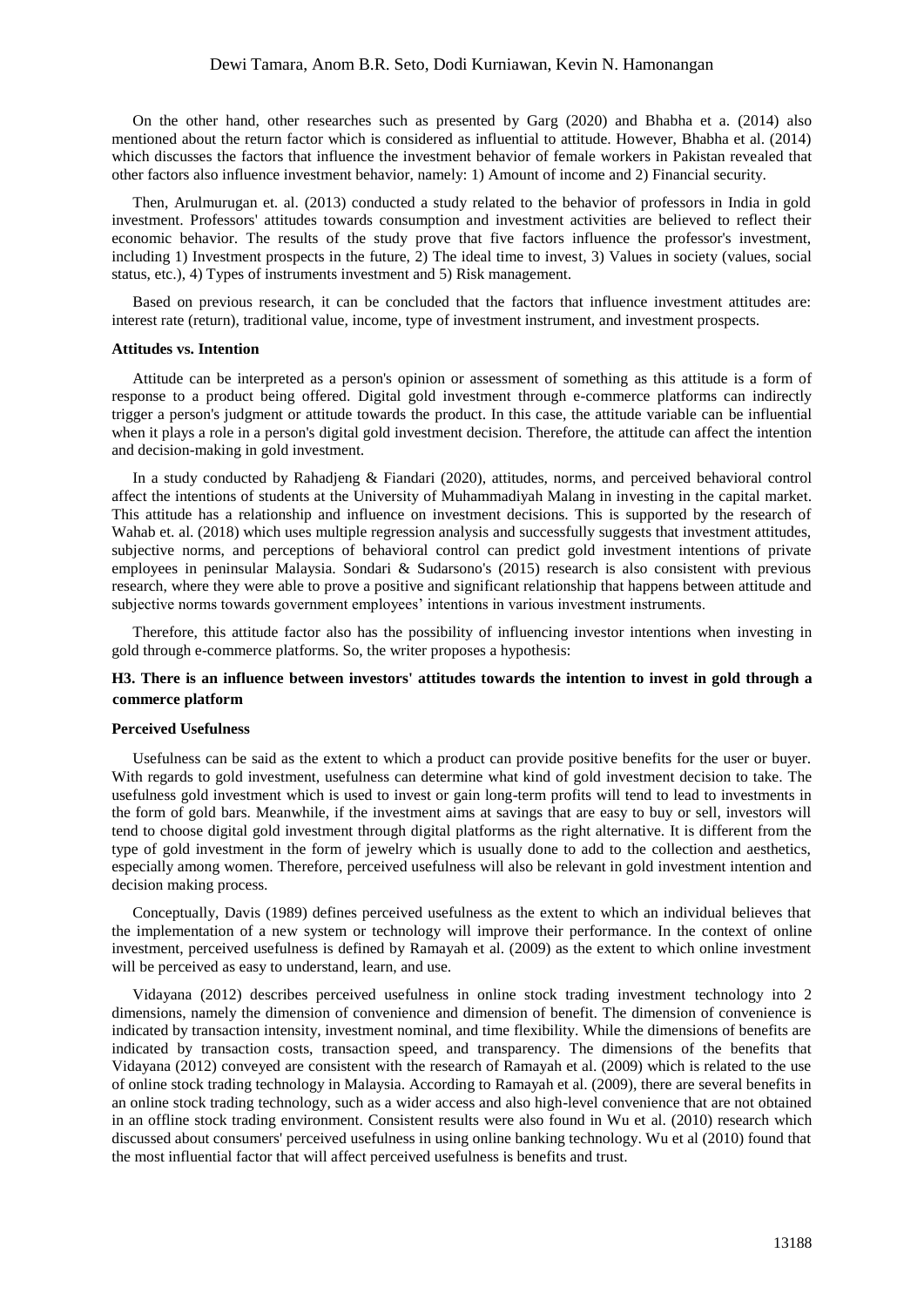On the other hand, other researches such as presented by Garg (2020) and Bhabha et a. (2014) also mentioned about the return factor which is considered as influential to attitude. However, Bhabha et al. (2014) which discusses the factors that influence the investment behavior of female workers in Pakistan revealed that other factors also influence investment behavior, namely: 1) Amount of income and 2) Financial security.

Then, Arulmurugan et. al. (2013) conducted a study related to the behavior of professors in India in gold investment. Professors' attitudes towards consumption and investment activities are believed to reflect their economic behavior. The results of the study prove that five factors influence the professor's investment, including 1) Investment prospects in the future, 2) The ideal time to invest, 3) Values in society (values, social status, etc.), 4) Types of instruments investment and 5) Risk management.

Based on previous research, it can be concluded that the factors that influence investment attitudes are: interest rate (return), traditional value, income, type of investment instrument, and investment prospects.

### **Attitudes vs. Intention**

Attitude can be interpreted as a person's opinion or assessment of something as this attitude is a form of response to a product being offered. Digital gold investment through e-commerce platforms can indirectly trigger a person's judgment or attitude towards the product. In this case, the attitude variable can be influential when it plays a role in a person's digital gold investment decision. Therefore, the attitude can affect the intention and decision-making in gold investment.

In a study conducted by Rahadjeng & Fiandari (2020), attitudes, norms, and perceived behavioral control affect the intentions of students at the University of Muhammadiyah Malang in investing in the capital market. This attitude has a relationship and influence on investment decisions. This is supported by the research of Wahab et. al. (2018) which uses multiple regression analysis and successfully suggests that investment attitudes, subjective norms, and perceptions of behavioral control can predict gold investment intentions of private employees in peninsular Malaysia. Sondari & Sudarsono's (2015) research is also consistent with previous research, where they were able to prove a positive and significant relationship that happens between attitude and subjective norms towards government employees' intentions in various investment instruments.

Therefore, this attitude factor also has the possibility of influencing investor intentions when investing in gold through e-commerce platforms. So, the writer proposes a hypothesis:

# **H3. There is an influence between investors' attitudes towards the intention to invest in gold through a commerce platform**

### **Perceived Usefulness**

Usefulness can be said as the extent to which a product can provide positive benefits for the user or buyer. With regards to gold investment, usefulness can determine what kind of gold investment decision to take. The usefulness gold investment which is used to invest or gain long-term profits will tend to lead to investments in the form of gold bars. Meanwhile, if the investment aims at savings that are easy to buy or sell, investors will tend to choose digital gold investment through digital platforms as the right alternative. It is different from the type of gold investment in the form of jewelry which is usually done to add to the collection and aesthetics, especially among women. Therefore, perceived usefulness will also be relevant in gold investment intention and decision making process.

Conceptually, Davis (1989) defines perceived usefulness as the extent to which an individual believes that the implementation of a new system or technology will improve their performance. In the context of online investment, perceived usefulness is defined by Ramayah et al. (2009) as the extent to which online investment will be perceived as easy to understand, learn, and use.

Vidayana (2012) describes perceived usefulness in online stock trading investment technology into 2 dimensions, namely the dimension of convenience and dimension of benefit. The dimension of convenience is indicated by transaction intensity, investment nominal, and time flexibility. While the dimensions of benefits are indicated by transaction costs, transaction speed, and transparency. The dimensions of the benefits that Vidayana (2012) conveyed are consistent with the research of Ramayah et al. (2009) which is related to the use of online stock trading technology in Malaysia. According to Ramayah et al. (2009), there are several benefits in an online stock trading technology, such as a wider access and also high-level convenience that are not obtained in an offline stock trading environment. Consistent results were also found in Wu et al. (2010) research which discussed about consumers' perceived usefulness in using online banking technology. Wu et al (2010) found that the most influential factor that will affect perceived usefulness is benefits and trust.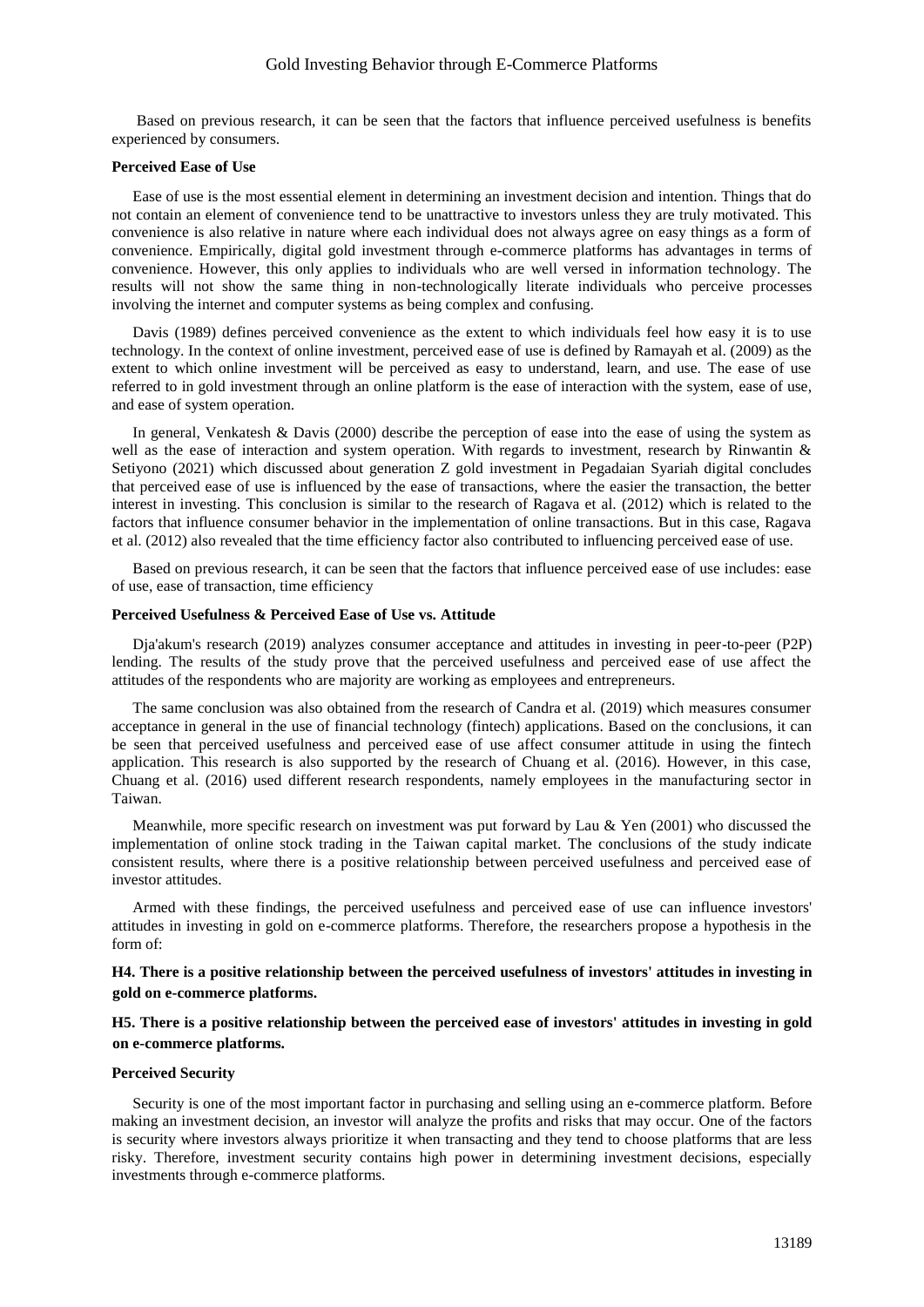# Gold Investing Behavior through E-Commerce Platforms

Based on previous research, it can be seen that the factors that influence perceived usefulness is benefits experienced by consumers.

# **Perceived Ease of Use**

Ease of use is the most essential element in determining an investment decision and intention. Things that do not contain an element of convenience tend to be unattractive to investors unless they are truly motivated. This convenience is also relative in nature where each individual does not always agree on easy things as a form of convenience. Empirically, digital gold investment through e-commerce platforms has advantages in terms of convenience. However, this only applies to individuals who are well versed in information technology. The results will not show the same thing in non-technologically literate individuals who perceive processes involving the internet and computer systems as being complex and confusing.

Davis (1989) defines perceived convenience as the extent to which individuals feel how easy it is to use technology. In the context of online investment, perceived ease of use is defined by Ramayah et al. (2009) as the extent to which online investment will be perceived as easy to understand, learn, and use. The ease of use referred to in gold investment through an online platform is the ease of interaction with the system, ease of use, and ease of system operation.

In general, Venkatesh & Davis (2000) describe the perception of ease into the ease of using the system as well as the ease of interaction and system operation. With regards to investment, research by Rinwantin & Setiyono (2021) which discussed about generation Z gold investment in Pegadaian Syariah digital concludes that perceived ease of use is influenced by the ease of transactions, where the easier the transaction, the better interest in investing. This conclusion is similar to the research of Ragava et al. (2012) which is related to the factors that influence consumer behavior in the implementation of online transactions. But in this case, Ragava et al. (2012) also revealed that the time efficiency factor also contributed to influencing perceived ease of use.

Based on previous research, it can be seen that the factors that influence perceived ease of use includes: ease of use, ease of transaction, time efficiency

### **Perceived Usefulness & Perceived Ease of Use vs. Attitude**

Dja'akum's research (2019) analyzes consumer acceptance and attitudes in investing in peer-to-peer (P2P) lending. The results of the study prove that the perceived usefulness and perceived ease of use affect the attitudes of the respondents who are majority are working as employees and entrepreneurs.

The same conclusion was also obtained from the research of Candra et al. (2019) which measures consumer acceptance in general in the use of financial technology (fintech) applications. Based on the conclusions, it can be seen that perceived usefulness and perceived ease of use affect consumer attitude in using the fintech application. This research is also supported by the research of Chuang et al. (2016). However, in this case, Chuang et al. (2016) used different research respondents, namely employees in the manufacturing sector in Taiwan.

Meanwhile, more specific research on investment was put forward by Lau & Yen (2001) who discussed the implementation of online stock trading in the Taiwan capital market. The conclusions of the study indicate consistent results, where there is a positive relationship between perceived usefulness and perceived ease of investor attitudes.

Armed with these findings, the perceived usefulness and perceived ease of use can influence investors' attitudes in investing in gold on e-commerce platforms. Therefore, the researchers propose a hypothesis in the form of:

# **H4. There is a positive relationship between the perceived usefulness of investors' attitudes in investing in gold on e-commerce platforms.**

# **H5. There is a positive relationship between the perceived ease of investors' attitudes in investing in gold on e-commerce platforms.**

### **Perceived Security**

Security is one of the most important factor in purchasing and selling using an e-commerce platform. Before making an investment decision, an investor will analyze the profits and risks that may occur. One of the factors is security where investors always prioritize it when transacting and they tend to choose platforms that are less risky. Therefore, investment security contains high power in determining investment decisions, especially investments through e-commerce platforms.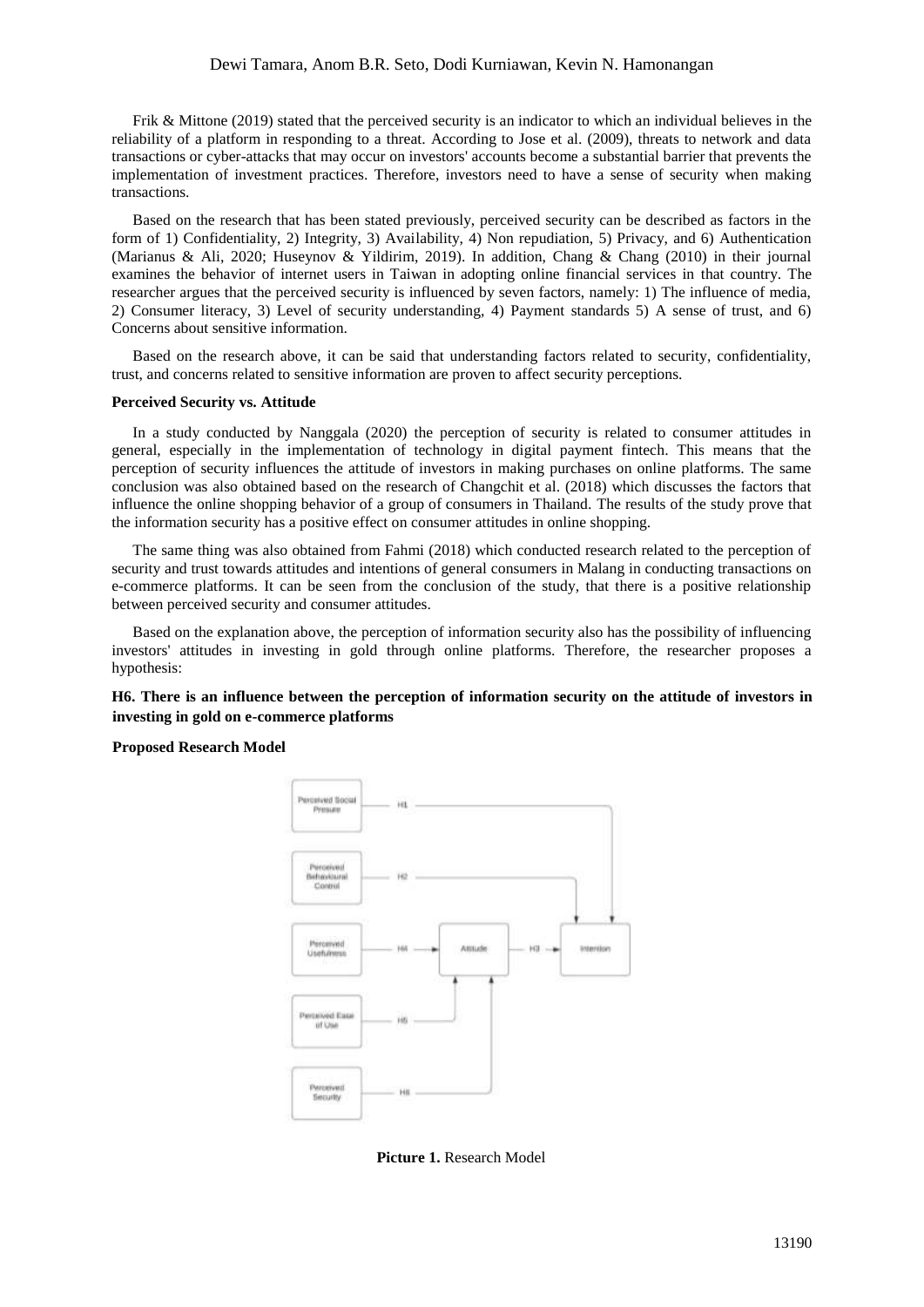# Dewi Tamara, Anom B.R. Seto, Dodi Kurniawan, Kevin N. Hamonangan

Frik & Mittone (2019) stated that the perceived security is an indicator to which an individual believes in the reliability of a platform in responding to a threat. According to Jose et al. (2009), threats to network and data transactions or cyber-attacks that may occur on investors' accounts become a substantial barrier that prevents the implementation of investment practices. Therefore, investors need to have a sense of security when making transactions.

Based on the research that has been stated previously, perceived security can be described as factors in the form of 1) Confidentiality, 2) Integrity, 3) Availability, 4) Non repudiation, 5) Privacy, and 6) Authentication (Marianus & Ali, 2020; Huseynov & Yildirim, 2019). In addition, Chang & Chang (2010) in their journal examines the behavior of internet users in Taiwan in adopting online financial services in that country. The researcher argues that the perceived security is influenced by seven factors, namely: 1) The influence of media, 2) Consumer literacy, 3) Level of security understanding, 4) Payment standards 5) A sense of trust, and 6) Concerns about sensitive information.

Based on the research above, it can be said that understanding factors related to security, confidentiality, trust, and concerns related to sensitive information are proven to affect security perceptions.

### **Perceived Security vs. Attitude**

In a study conducted by Nanggala (2020) the perception of security is related to consumer attitudes in general, especially in the implementation of technology in digital payment fintech. This means that the perception of security influences the attitude of investors in making purchases on online platforms. The same conclusion was also obtained based on the research of Changchit et al. (2018) which discusses the factors that influence the online shopping behavior of a group of consumers in Thailand. The results of the study prove that the information security has a positive effect on consumer attitudes in online shopping.

The same thing was also obtained from Fahmi (2018) which conducted research related to the perception of security and trust towards attitudes and intentions of general consumers in Malang in conducting transactions on e-commerce platforms. It can be seen from the conclusion of the study, that there is a positive relationship between perceived security and consumer attitudes.

Based on the explanation above, the perception of information security also has the possibility of influencing investors' attitudes in investing in gold through online platforms. Therefore, the researcher proposes a hypothesis:

# **H6. There is an influence between the perception of information security on the attitude of investors in investing in gold on e-commerce platforms**

# **Proposed Research Model**



**Picture 1.** Research Model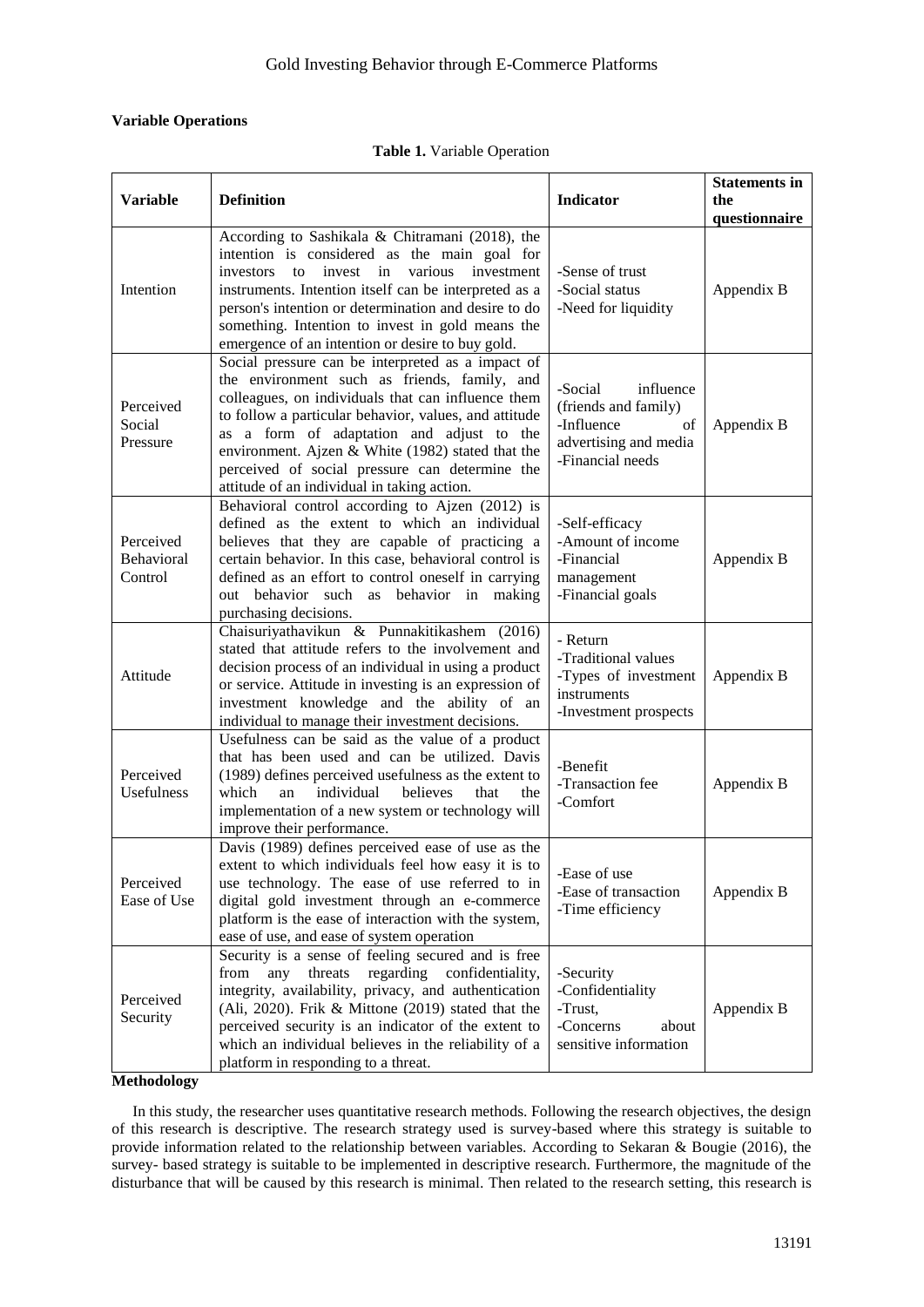# **Variable Operations**

|  | <b>Table 1.</b> Variable Operation |  |
|--|------------------------------------|--|
|--|------------------------------------|--|

| <b>Variable</b>                           | <b>Definition</b>                                                                                                                                                                                                                                                                                                                                                                                                   | <b>Indicator</b>                                                                                              | <b>Statements in</b><br>the<br>questionnaire |
|-------------------------------------------|---------------------------------------------------------------------------------------------------------------------------------------------------------------------------------------------------------------------------------------------------------------------------------------------------------------------------------------------------------------------------------------------------------------------|---------------------------------------------------------------------------------------------------------------|----------------------------------------------|
| Intention                                 | According to Sashikala & Chitramani (2018), the<br>intention is considered as the main goal for<br>invest in<br>various<br>investment<br>investors<br>to<br>instruments. Intention itself can be interpreted as a<br>person's intention or determination and desire to do<br>something. Intention to invest in gold means the<br>emergence of an intention or desire to buy gold.                                   | -Sense of trust<br>-Social status<br>-Need for liquidity                                                      | Appendix B                                   |
| Perceived<br>Social<br>Pressure           | Social pressure can be interpreted as a impact of<br>the environment such as friends, family, and<br>colleagues, on individuals that can influence them<br>to follow a particular behavior, values, and attitude<br>as a form of adaptation and adjust to the<br>environment. Ajzen & White (1982) stated that the<br>perceived of social pressure can determine the<br>attitude of an individual in taking action. | -Social<br>influence<br>(friends and family)<br>-Influence<br>of<br>advertising and media<br>-Financial needs | Appendix B                                   |
| Perceived<br><b>Behavioral</b><br>Control | Behavioral control according to Ajzen (2012) is<br>defined as the extent to which an individual<br>believes that they are capable of practicing a<br>certain behavior. In this case, behavioral control is<br>defined as an effort to control oneself in carrying<br>out behavior such as behavior in making<br>purchasing decisions.                                                                               | -Self-efficacy<br>-Amount of income<br>-Financial<br>management<br>-Financial goals                           | Appendix B                                   |
| Attitude                                  | Chaisuriyathavikun & Punnakitikashem (2016)<br>stated that attitude refers to the involvement and<br>decision process of an individual in using a product<br>or service. Attitude in investing is an expression of<br>investment knowledge and the ability of an<br>individual to manage their investment decisions.                                                                                                | - Return<br>-Traditional values<br>-Types of investment<br>instruments<br>-Investment prospects               | Appendix B                                   |
| Perceived<br>Usefulness                   | Usefulness can be said as the value of a product<br>that has been used and can be utilized. Davis<br>(1989) defines perceived usefulness as the extent to<br>an individual<br>which<br>believes<br>that<br>the<br>implementation of a new system or technology will<br>improve their performance.                                                                                                                   | -Benefit<br>-Transaction fee<br>-Comfort                                                                      | Appendix B                                   |
| Perceived<br>Ease of Use                  | Davis (1989) defines perceived ease of use as the<br>extent to which individuals feel how easy it is to<br>use technology. The ease of use referred to in<br>digital gold investment through an e-commerce<br>platform is the ease of interaction with the system,<br>ease of use, and ease of system operation                                                                                                     | -Ease of use<br>-Ease of transaction<br>-Time efficiency                                                      | Appendix B                                   |
| Perceived<br>Security                     | Security is a sense of feeling secured and is free<br>any<br>threats regarding confidentiality,<br>from<br>integrity, availability, privacy, and authentication<br>(Ali, 2020). Frik & Mittone (2019) stated that the<br>perceived security is an indicator of the extent to<br>which an individual believes in the reliability of a<br>platform in responding to a threat.                                         | -Security<br>-Confidentiality<br>-Trust,<br>-Concerns<br>about<br>sensitive information                       | Appendix B                                   |

**Methodology**

In this study, the researcher uses quantitative research methods. Following the research objectives, the design of this research is descriptive. The research strategy used is survey-based where this strategy is suitable to provide information related to the relationship between variables. According to Sekaran & Bougie (2016), the survey- based strategy is suitable to be implemented in descriptive research. Furthermore, the magnitude of the disturbance that will be caused by this research is minimal. Then related to the research setting, this research is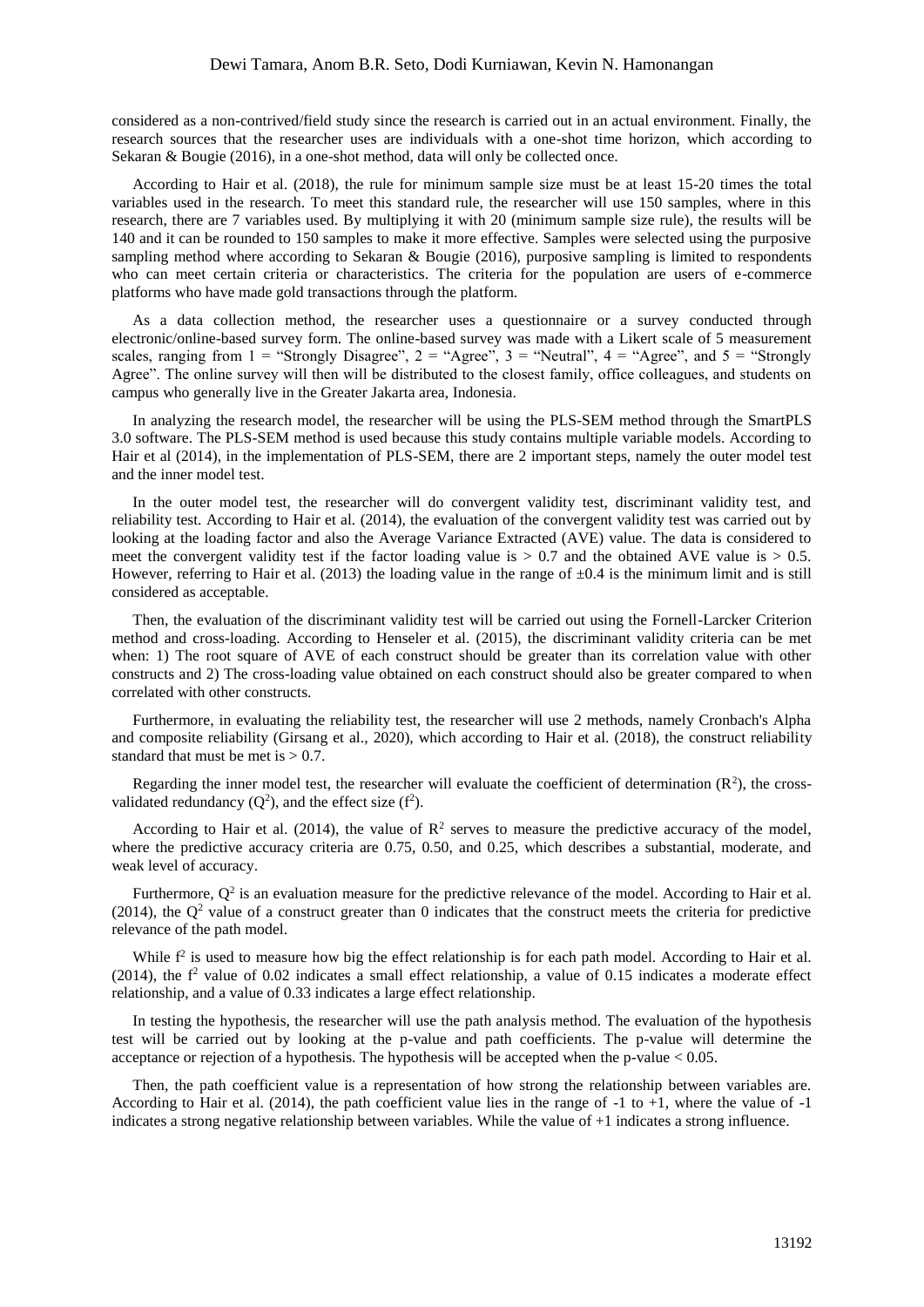considered as a non-contrived/field study since the research is carried out in an actual environment. Finally, the research sources that the researcher uses are individuals with a one-shot time horizon, which according to Sekaran & Bougie (2016), in a one-shot method, data will only be collected once.

According to Hair et al. (2018), the rule for minimum sample size must be at least 15-20 times the total variables used in the research. To meet this standard rule, the researcher will use 150 samples, where in this research, there are 7 variables used. By multiplying it with 20 (minimum sample size rule), the results will be 140 and it can be rounded to 150 samples to make it more effective. Samples were selected using the purposive sampling method where according to Sekaran & Bougie (2016), purposive sampling is limited to respondents who can meet certain criteria or characteristics. The criteria for the population are users of e-commerce platforms who have made gold transactions through the platform.

As a data collection method, the researcher uses a questionnaire or a survey conducted through electronic/online-based survey form. The online-based survey was made with a Likert scale of 5 measurement scales, ranging from  $1 =$  "Strongly Disagree",  $2 =$  "Agree",  $3 =$  "Neutral",  $4 =$  "Agree", and  $5 =$  "Strongly Agree". The online survey will then will be distributed to the closest family, office colleagues, and students on campus who generally live in the Greater Jakarta area, Indonesia.

In analyzing the research model, the researcher will be using the PLS-SEM method through the SmartPLS 3.0 software. The PLS-SEM method is used because this study contains multiple variable models. According to Hair et al (2014), in the implementation of PLS-SEM, there are 2 important steps, namely the outer model test and the inner model test.

In the outer model test, the researcher will do convergent validity test, discriminant validity test, and reliability test. According to Hair et al. (2014), the evaluation of the convergent validity test was carried out by looking at the loading factor and also the Average Variance Extracted (AVE) value. The data is considered to meet the convergent validity test if the factor loading value is  $> 0.7$  and the obtained AVE value is  $> 0.5$ . However, referring to Hair et al. (2013) the loading value in the range of  $\pm 0.4$  is the minimum limit and is still considered as acceptable.

Then, the evaluation of the discriminant validity test will be carried out using the Fornell-Larcker Criterion method and cross-loading. According to Henseler et al. (2015), the discriminant validity criteria can be met when: 1) The root square of AVE of each construct should be greater than its correlation value with other constructs and 2) The cross-loading value obtained on each construct should also be greater compared to when correlated with other constructs.

Furthermore, in evaluating the reliability test, the researcher will use 2 methods, namely Cronbach's Alpha and composite reliability (Girsang et al., 2020), which according to Hair et al. (2018), the construct reliability standard that must be met is  $> 0.7$ .

Regarding the inner model test, the researcher will evaluate the coefficient of determination  $(R^2)$ , the crossvalidated redundancy  $(Q^2)$ , and the effect size  $(f^2)$ .

According to Hair et al. (2014), the value of  $\mathbb{R}^2$  serves to measure the predictive accuracy of the model, where the predictive accuracy criteria are 0.75, 0.50, and 0.25, which describes a substantial, moderate, and weak level of accuracy.

Furthermore,  $Q<sup>2</sup>$  is an evaluation measure for the predictive relevance of the model. According to Hair et al. (2014), the  $Q^2$  value of a construct greater than 0 indicates that the construct meets the criteria for predictive relevance of the path model.

While  $f^2$  is used to measure how big the effect relationship is for each path model. According to Hair et al. (2014), the  $f<sup>2</sup>$  value of 0.02 indicates a small effect relationship, a value of 0.15 indicates a moderate effect relationship, and a value of 0.33 indicates a large effect relationship.

In testing the hypothesis, the researcher will use the path analysis method. The evaluation of the hypothesis test will be carried out by looking at the p-value and path coefficients. The p-value will determine the acceptance or rejection of a hypothesis. The hypothesis will be accepted when the p-value  $< 0.05$ .

Then, the path coefficient value is a representation of how strong the relationship between variables are. According to Hair et al. (2014), the path coefficient value lies in the range of -1 to +1, where the value of -1 indicates a strong negative relationship between variables. While the value of +1 indicates a strong influence.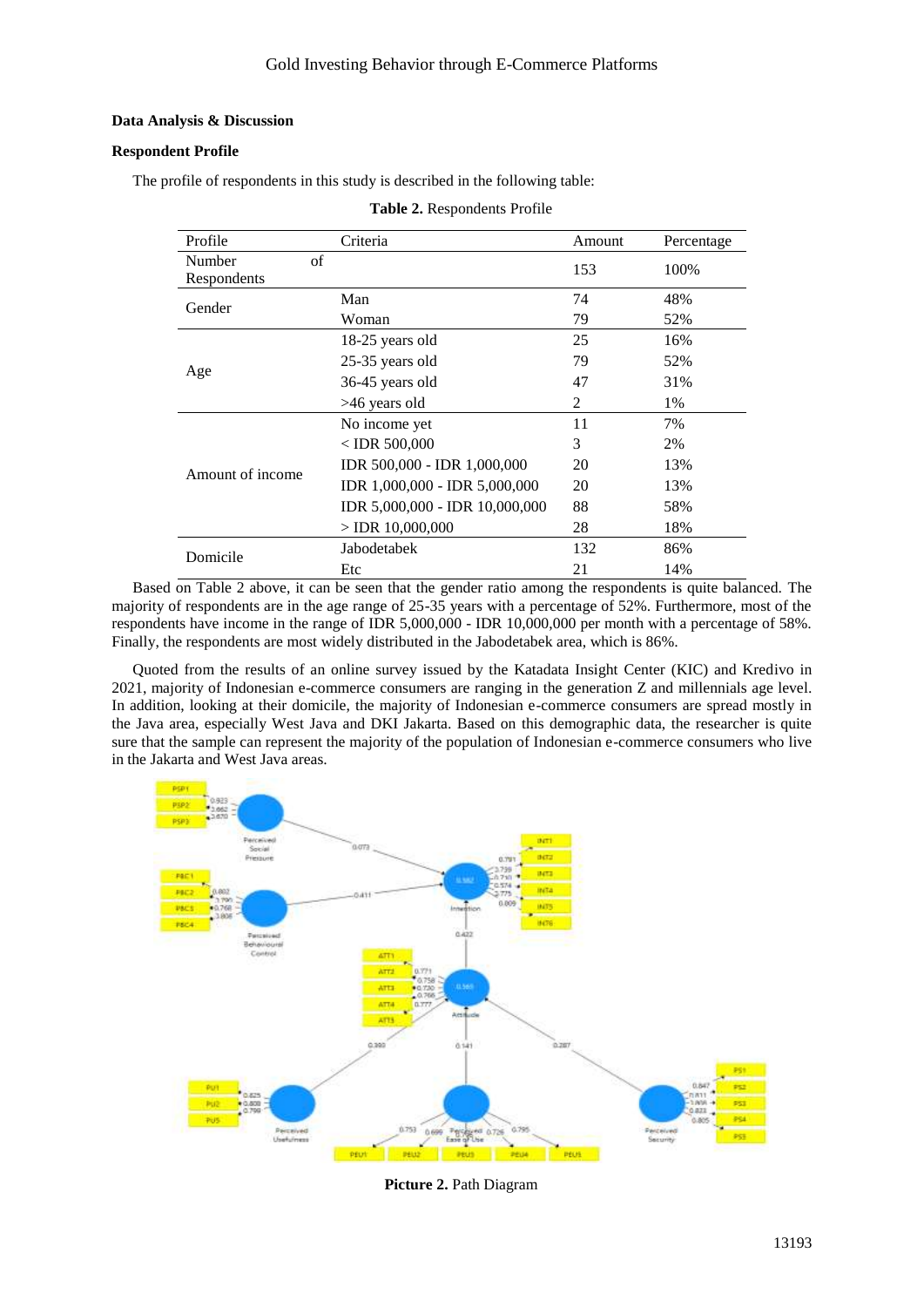**Table 2.** Respondents Profile

# **Data Analysis & Discussion**

# **Respondent Profile**

The profile of respondents in this study is described in the following table:

| Profile          | Criteria                       | Amount         | Percentage |
|------------------|--------------------------------|----------------|------------|
| of<br>Number     |                                | 153            | 100%       |
| Respondents      |                                |                |            |
| Gender           | Man                            | 74             | 48%        |
|                  | Woman                          | 79             | 52%        |
|                  | 18-25 years old                | 25             | 16%        |
|                  | 25-35 years old                | 79             | 52%        |
| Age              | 36-45 years old                | 47             | 31%        |
|                  | >46 years old                  | $\overline{2}$ | 1%         |
|                  | No income yet                  | 11             | 7%         |
|                  | $<$ IDR 500,000                | 3              | 2%         |
| Amount of income | IDR 500,000 - IDR 1,000,000    | 20             | 13%        |
|                  | IDR 1,000,000 - IDR 5,000,000  | 20             | 13%        |
|                  | IDR 5,000,000 - IDR 10,000,000 | 88             | 58%        |
|                  | $>$ IDR 10,000,000             | 28             | 18%        |
| Domicile         | Jabodetabek                    | 132            | 86%        |
|                  | Etc                            | 21             | 14%        |

Based on Table 2 above, it can be seen that the gender ratio among the respondents is quite balanced. The majority of respondents are in the age range of 25-35 years with a percentage of 52%. Furthermore, most of the respondents have income in the range of IDR 5,000,000 - IDR 10,000,000 per month with a percentage of 58%. Finally, the respondents are most widely distributed in the Jabodetabek area, which is 86%.

Quoted from the results of an online survey issued by the Katadata Insight Center (KIC) and Kredivo in 2021, majority of Indonesian e-commerce consumers are ranging in the generation Z and millennials age level. In addition, looking at their domicile, the majority of Indonesian e-commerce consumers are spread mostly in the Java area, especially West Java and DKI Jakarta. Based on this demographic data, the researcher is quite sure that the sample can represent the majority of the population of Indonesian e-commerce consumers who live in the Jakarta and West Java areas.



**Picture 2.** Path Diagram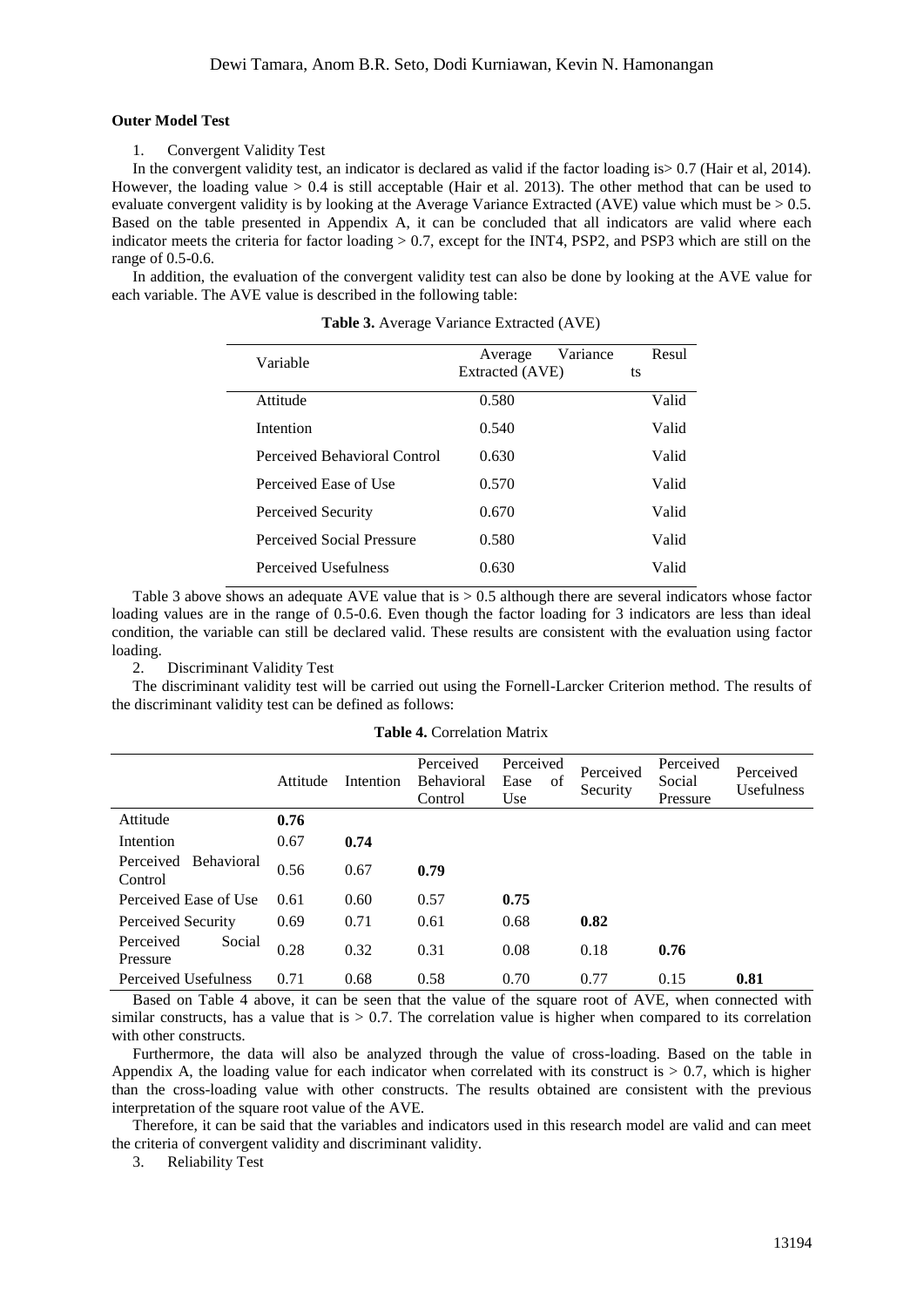### **Outer Model Test**

1. Convergent Validity Test

In the convergent validity test, an indicator is declared as valid if the factor loading is  $> 0.7$  (Hair et al. 2014). However, the loading value > 0.4 is still acceptable (Hair et al. 2013). The other method that can be used to evaluate convergent validity is by looking at the Average Variance Extracted (AVE) value which must be > 0.5. Based on the table presented in Appendix A, it can be concluded that all indicators are valid where each indicator meets the criteria for factor loading  $> 0.7$ , except for the INT4, PSP2, and PSP3 which are still on the range of 0.5-0.6.

In addition, the evaluation of the convergent validity test can also be done by looking at the AVE value for each variable. The AVE value is described in the following table:

| Variable                     | Variance<br>Average<br>Extracted (AVE) | Resul<br>ts |
|------------------------------|----------------------------------------|-------------|
| Attitude                     | 0.580                                  | Valid       |
| Intention                    | 0.540                                  | Valid       |
| Perceived Behavioral Control | 0.630                                  | Valid       |
| Perceived Ease of Use        | 0.570                                  | Valid       |
| Perceived Security           | 0.670                                  | Valid       |
| Perceived Social Pressure    | 0.580                                  | Valid       |
| Perceived Usefulness         | 0.630                                  | Valid       |

**Table 3.** Average Variance Extracted (AVE)

Table 3 above shows an adequate AVE value that is > 0.5 although there are several indicators whose factor loading values are in the range of 0.5-0.6. Even though the factor loading for 3 indicators are less than ideal condition, the variable can still be declared valid. These results are consistent with the evaluation using factor loading.

2. Discriminant Validity Test

The discriminant validity test will be carried out using the Fornell-Larcker Criterion method. The results of the discriminant validity test can be defined as follows:

|                                           | Attitude | Intention | Perceived<br><b>Behavioral</b><br>Control | Perceived<br>Ease<br>οf<br>Use | Perceived<br>Security | Perceived<br>Social<br>Pressure | Perceived<br><b>Usefulness</b> |
|-------------------------------------------|----------|-----------|-------------------------------------------|--------------------------------|-----------------------|---------------------------------|--------------------------------|
| Attitude                                  | 0.76     |           |                                           |                                |                       |                                 |                                |
| Intention                                 | 0.67     | 0.74      |                                           |                                |                       |                                 |                                |
| <b>Behavioral</b><br>Perceived<br>Control | 0.56     | 0.67      | 0.79                                      |                                |                       |                                 |                                |
| Perceived Ease of Use                     | 0.61     | 0.60      | 0.57                                      | 0.75                           |                       |                                 |                                |
| Perceived Security                        | 0.69     | 0.71      | 0.61                                      | 0.68                           | 0.82                  |                                 |                                |
| Perceived<br>Social<br>Pressure           | 0.28     | 0.32      | 0.31                                      | 0.08                           | 0.18                  | 0.76                            |                                |
| Perceived Usefulness                      | 0.71     | 0.68      | 0.58                                      | 0.70                           | 0.77                  | 0.15                            | 0.81                           |

Based on Table 4 above, it can be seen that the value of the square root of AVE, when connected with similar constructs, has a value that is  $> 0.7$ . The correlation value is higher when compared to its correlation with other constructs.

Furthermore, the data will also be analyzed through the value of cross-loading. Based on the table in Appendix A, the loading value for each indicator when correlated with its construct is  $> 0.7$ , which is higher than the cross-loading value with other constructs. The results obtained are consistent with the previous interpretation of the square root value of the AVE.

Therefore, it can be said that the variables and indicators used in this research model are valid and can meet the criteria of convergent validity and discriminant validity.

3. Reliability Test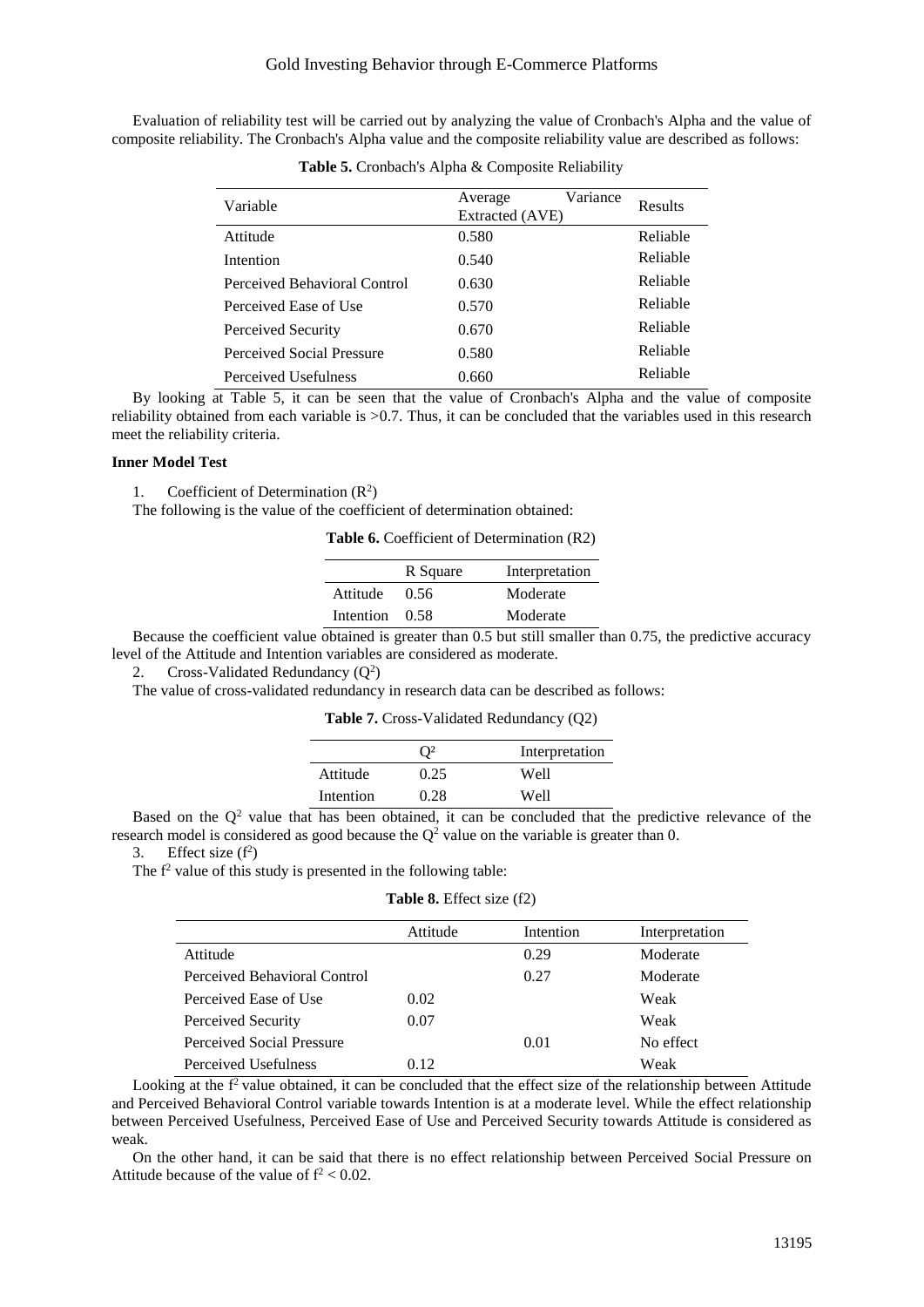Evaluation of reliability test will be carried out by analyzing the value of Cronbach's Alpha and the value of composite reliability. The Cronbach's Alpha value and the composite reliability value are described as follows:

| Variable                     | Variance<br>Average<br>Extracted (AVE) | <b>Results</b> |
|------------------------------|----------------------------------------|----------------|
| Attitude                     | 0.580                                  | Reliable       |
| Intention                    | 0.540                                  | Reliable       |
| Perceived Behavioral Control | 0.630                                  | Reliable       |
| Perceived Ease of Use        | 0.570                                  | Reliable       |
| Perceived Security           | 0.670                                  | Reliable       |
| Perceived Social Pressure    | 0.580                                  | Reliable       |
| Perceived Usefulness         | 0.660                                  | Reliable       |

**Table 5.** Cronbach's Alpha & Composite Reliability

By looking at Table 5, it can be seen that the value of Cronbach's Alpha and the value of composite reliability obtained from each variable is >0.7. Thus, it can be concluded that the variables used in this research meet the reliability criteria.

# **Inner Model Test**

1. Coefficient of Determination  $(R^2)$ 

The following is the value of the coefficient of determination obtained:

**Table 6.** Coefficient of Determination (R2)

|           | R Square | Interpretation |
|-----------|----------|----------------|
| Attitude  | 0.56     | Moderate       |
| Intention | 0.58     | Moderate       |

Because the coefficient value obtained is greater than 0.5 but still smaller than 0.75, the predictive accuracy level of the Attitude and Intention variables are considered as moderate.

2. Cross-Validated Redundancy  $(Q^2)$ 

The value of cross-validated redundancy in research data can be described as follows:

**Table 7.** Cross-Validated Redundancy (Q2)

|           | $\mathcal{D}^2$ | Interpretation |
|-----------|-----------------|----------------|
| Attitude  | 0.25            | Well           |
| Intention | 0.28            | Well           |
|           |                 |                |

Based on the  $Q^2$  value that has been obtained, it can be concluded that the predictive relevance of the research model is considered as good because the  $Q^2$  value on the variable is greater than 0.

3. Effect size  $(f^2)$ 

The  $f<sup>2</sup>$  value of this study is presented in the following table:

# **Table 8.** Effect size (f2)

|                              | Attitude | Intention | Interpretation |
|------------------------------|----------|-----------|----------------|
| Attitude                     |          | 0.29      | Moderate       |
| Perceived Behavioral Control |          | 0.27      | Moderate       |
| Perceived Ease of Use        | 0.02     |           | Weak           |
| Perceived Security           | 0.07     |           | Weak           |
| Perceived Social Pressure    |          | 0.01      | No effect      |
| Perceived Usefulness         | 0.12     |           | Weak           |

Looking at the  $f<sup>2</sup>$  value obtained, it can be concluded that the effect size of the relationship between Attitude and Perceived Behavioral Control variable towards Intention is at a moderate level. While the effect relationship between Perceived Usefulness, Perceived Ease of Use and Perceived Security towards Attitude is considered as weak.

On the other hand, it can be said that there is no effect relationship between Perceived Social Pressure on Attitude because of the value of  $f^2 < 0.02$ .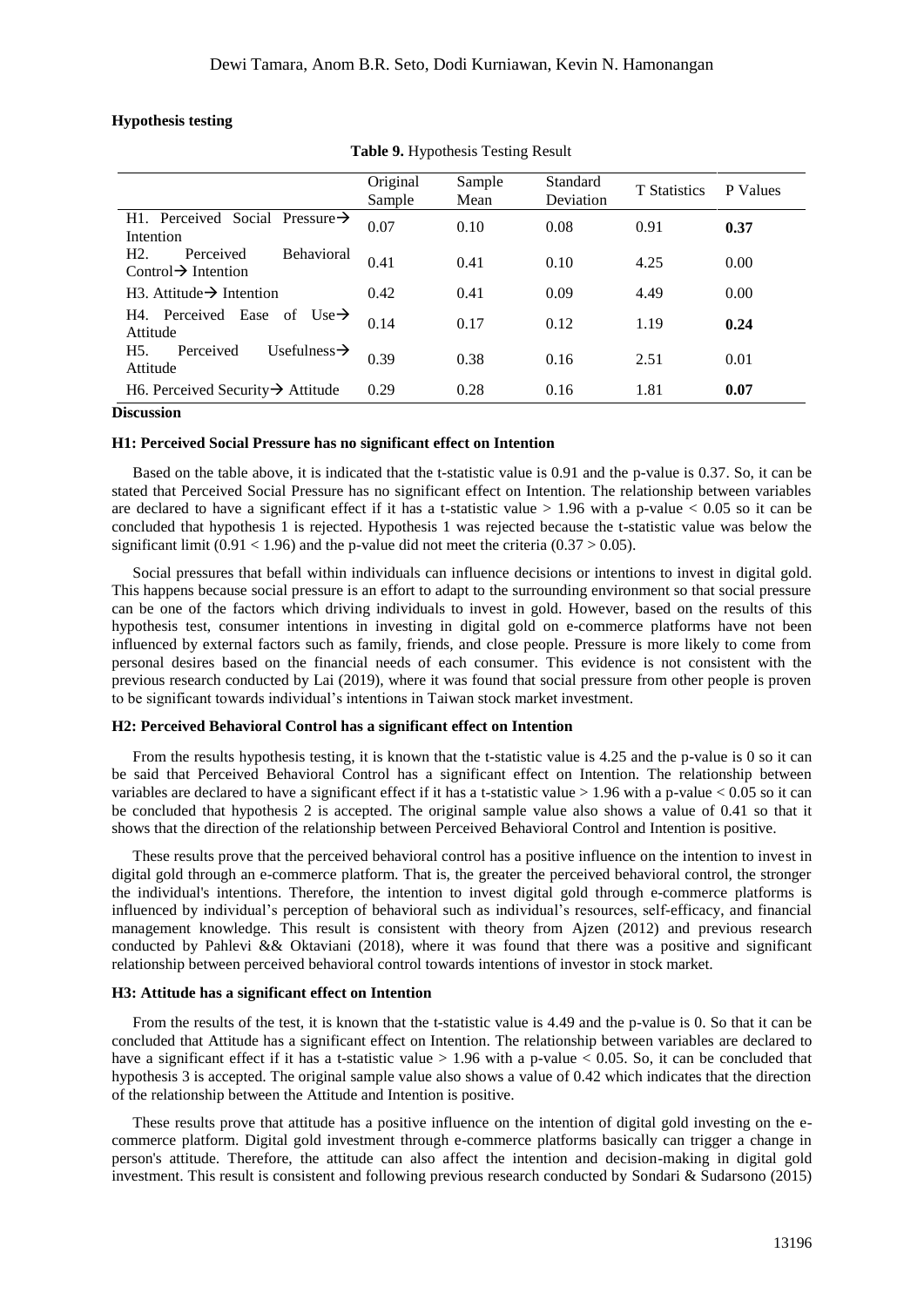# **Hypothesis testing**

|                                                                          | Original<br>Sample | Sample<br>Mean | Standard<br>Deviation | <b>T</b> Statistics | P Values |
|--------------------------------------------------------------------------|--------------------|----------------|-----------------------|---------------------|----------|
| H1. Perceived Social Pressure $\rightarrow$<br>Intention                 | 0.07               | 0.10           | 0.08                  | 0.91                | 0.37     |
| H2.<br>Perceived<br><b>Behavioral</b><br>Control $\rightarrow$ Intention | 0.41               | 0.41           | 0.10                  | 4.25                | 0.00     |
| $H3.$ Attitude $\rightarrow$ Intention                                   | 0.42               | 0.41           | 0.09                  | 4.49                | 0.00     |
| H4. Perceived Ease of<br>$Use \rightarrow$<br>Attitude                   | 0.14               | 0.17           | 0.12                  | 1.19                | 0.24     |
| Usefulness $\rightarrow$<br>H <sub>5</sub> .<br>Perceived<br>Attitude    | 0.39               | 0.38           | 0.16                  | 2.51                | 0.01     |
| H6. Perceived Security $\rightarrow$ Attitude                            | 0.29               | 0.28           | 0.16                  | 1.81                | 0.07     |

**Table 9.** Hypothesis Testing Result

#### **Discussion**

# **H1: Perceived Social Pressure has no significant effect on Intention**

Based on the table above, it is indicated that the t-statistic value is 0.91 and the p-value is 0.37. So, it can be stated that Perceived Social Pressure has no significant effect on Intention. The relationship between variables are declared to have a significant effect if it has a t-statistic value  $> 1.96$  with a p-value  $< 0.05$  so it can be concluded that hypothesis 1 is rejected. Hypothesis 1 was rejected because the t-statistic value was below the significant limit (0.91 < 1.96) and the p-value did not meet the criteria (0.37 > 0.05).

Social pressures that befall within individuals can influence decisions or intentions to invest in digital gold. This happens because social pressure is an effort to adapt to the surrounding environment so that social pressure can be one of the factors which driving individuals to invest in gold. However, based on the results of this hypothesis test, consumer intentions in investing in digital gold on e-commerce platforms have not been influenced by external factors such as family, friends, and close people. Pressure is more likely to come from personal desires based on the financial needs of each consumer. This evidence is not consistent with the previous research conducted by Lai (2019), where it was found that social pressure from other people is proven to be significant towards individual's intentions in Taiwan stock market investment.

### **H2: Perceived Behavioral Control has a significant effect on Intention**

From the results hypothesis testing, it is known that the t-statistic value is 4.25 and the p-value is 0 so it can be said that Perceived Behavioral Control has a significant effect on Intention. The relationship between variables are declared to have a significant effect if it has a t-statistic value  $> 1.96$  with a p-value  $< 0.05$  so it can be concluded that hypothesis 2 is accepted. The original sample value also shows a value of 0.41 so that it shows that the direction of the relationship between Perceived Behavioral Control and Intention is positive.

These results prove that the perceived behavioral control has a positive influence on the intention to invest in digital gold through an e-commerce platform. That is, the greater the perceived behavioral control, the stronger the individual's intentions. Therefore, the intention to invest digital gold through e-commerce platforms is influenced by individual's perception of behavioral such as individual's resources, self-efficacy, and financial management knowledge. This result is consistent with theory from Ajzen (2012) and previous research conducted by Pahlevi && Oktaviani (2018), where it was found that there was a positive and significant relationship between perceived behavioral control towards intentions of investor in stock market.

### **H3: Attitude has a significant effect on Intention**

From the results of the test, it is known that the t-statistic value is 4.49 and the p-value is 0. So that it can be concluded that Attitude has a significant effect on Intention. The relationship between variables are declared to have a significant effect if it has a t-statistic value  $> 1.96$  with a p-value  $< 0.05$ . So, it can be concluded that hypothesis 3 is accepted. The original sample value also shows a value of 0.42 which indicates that the direction of the relationship between the Attitude and Intention is positive.

These results prove that attitude has a positive influence on the intention of digital gold investing on the ecommerce platform. Digital gold investment through e-commerce platforms basically can trigger a change in person's attitude. Therefore, the attitude can also affect the intention and decision-making in digital gold investment. This result is consistent and following previous research conducted by Sondari & Sudarsono (2015)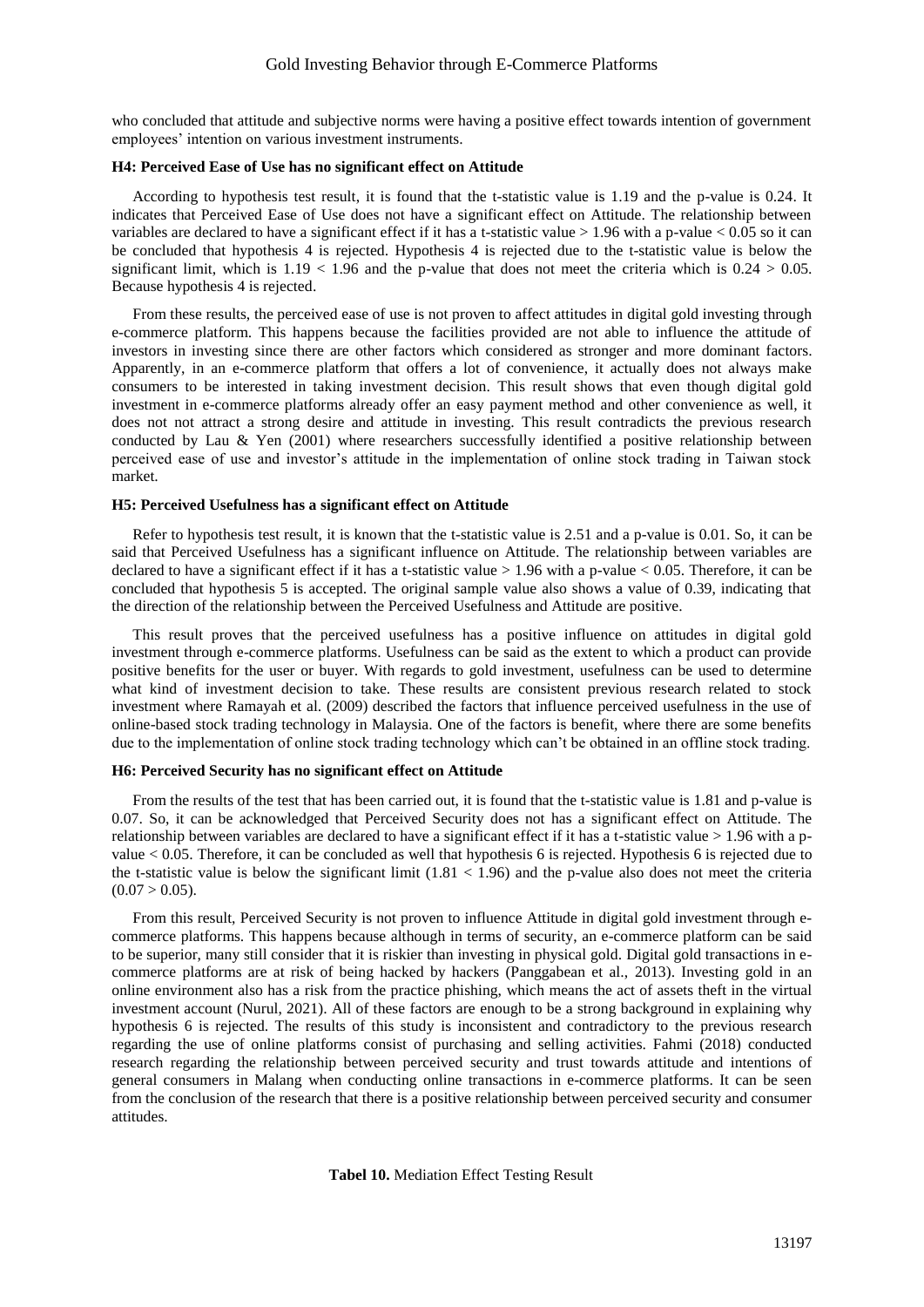who concluded that attitude and subjective norms were having a positive effect towards intention of government employees' intention on various investment instruments.

# **H4: Perceived Ease of Use has no significant effect on Attitude**

According to hypothesis test result, it is found that the t-statistic value is 1.19 and the p-value is 0.24. It indicates that Perceived Ease of Use does not have a significant effect on Attitude. The relationship between variables are declared to have a significant effect if it has a t-statistic value  $> 1.96$  with a p-value  $< 0.05$  so it can be concluded that hypothesis 4 is rejected. Hypothesis 4 is rejected due to the t-statistic value is below the significant limit, which is  $1.19 < 1.96$  and the p-value that does not meet the criteria which is  $0.24 > 0.05$ . Because hypothesis 4 is rejected.

From these results, the perceived ease of use is not proven to affect attitudes in digital gold investing through e-commerce platform. This happens because the facilities provided are not able to influence the attitude of investors in investing since there are other factors which considered as stronger and more dominant factors. Apparently, in an e-commerce platform that offers a lot of convenience, it actually does not always make consumers to be interested in taking investment decision. This result shows that even though digital gold investment in e-commerce platforms already offer an easy payment method and other convenience as well, it does not not attract a strong desire and attitude in investing. This result contradicts the previous research conducted by Lau & Yen (2001) where researchers successfully identified a positive relationship between perceived ease of use and investor's attitude in the implementation of online stock trading in Taiwan stock market.

### **H5: Perceived Usefulness has a significant effect on Attitude**

Refer to hypothesis test result, it is known that the t-statistic value is 2.51 and a p-value is 0.01. So, it can be said that Perceived Usefulness has a significant influence on Attitude. The relationship between variables are declared to have a significant effect if it has a t-statistic value  $> 1.96$  with a p-value  $< 0.05$ . Therefore, it can be concluded that hypothesis 5 is accepted. The original sample value also shows a value of 0.39, indicating that the direction of the relationship between the Perceived Usefulness and Attitude are positive.

This result proves that the perceived usefulness has a positive influence on attitudes in digital gold investment through e-commerce platforms. Usefulness can be said as the extent to which a product can provide positive benefits for the user or buyer. With regards to gold investment, usefulness can be used to determine what kind of investment decision to take. These results are consistent previous research related to stock investment where Ramayah et al. (2009) described the factors that influence perceived usefulness in the use of online-based stock trading technology in Malaysia. One of the factors is benefit, where there are some benefits due to the implementation of online stock trading technology which can't be obtained in an offline stock trading.

# **H6: Perceived Security has no significant effect on Attitude**

From the results of the test that has been carried out, it is found that the t-statistic value is 1.81 and p-value is 0.07. So, it can be acknowledged that Perceived Security does not has a significant effect on Attitude. The relationship between variables are declared to have a significant effect if it has a t-statistic value  $> 1.96$  with a pvalue < 0.05. Therefore, it can be concluded as well that hypothesis 6 is rejected. Hypothesis 6 is rejected due to the t-statistic value is below the significant limit  $(1.81 < 1.96)$  and the p-value also does not meet the criteria  $(0.07 > 0.05)$ .

From this result, Perceived Security is not proven to influence Attitude in digital gold investment through ecommerce platforms. This happens because although in terms of security, an e-commerce platform can be said to be superior, many still consider that it is riskier than investing in physical gold. Digital gold transactions in ecommerce platforms are at risk of being hacked by hackers (Panggabean et al., 2013). Investing gold in an online environment also has a risk from the practice phishing, which means the act of assets theft in the virtual investment account (Nurul, 2021). All of these factors are enough to be a strong background in explaining why hypothesis 6 is rejected. The results of this study is inconsistent and contradictory to the previous research regarding the use of online platforms consist of purchasing and selling activities. Fahmi (2018) conducted research regarding the relationship between perceived security and trust towards attitude and intentions of general consumers in Malang when conducting online transactions in e-commerce platforms. It can be seen from the conclusion of the research that there is a positive relationship between perceived security and consumer attitudes.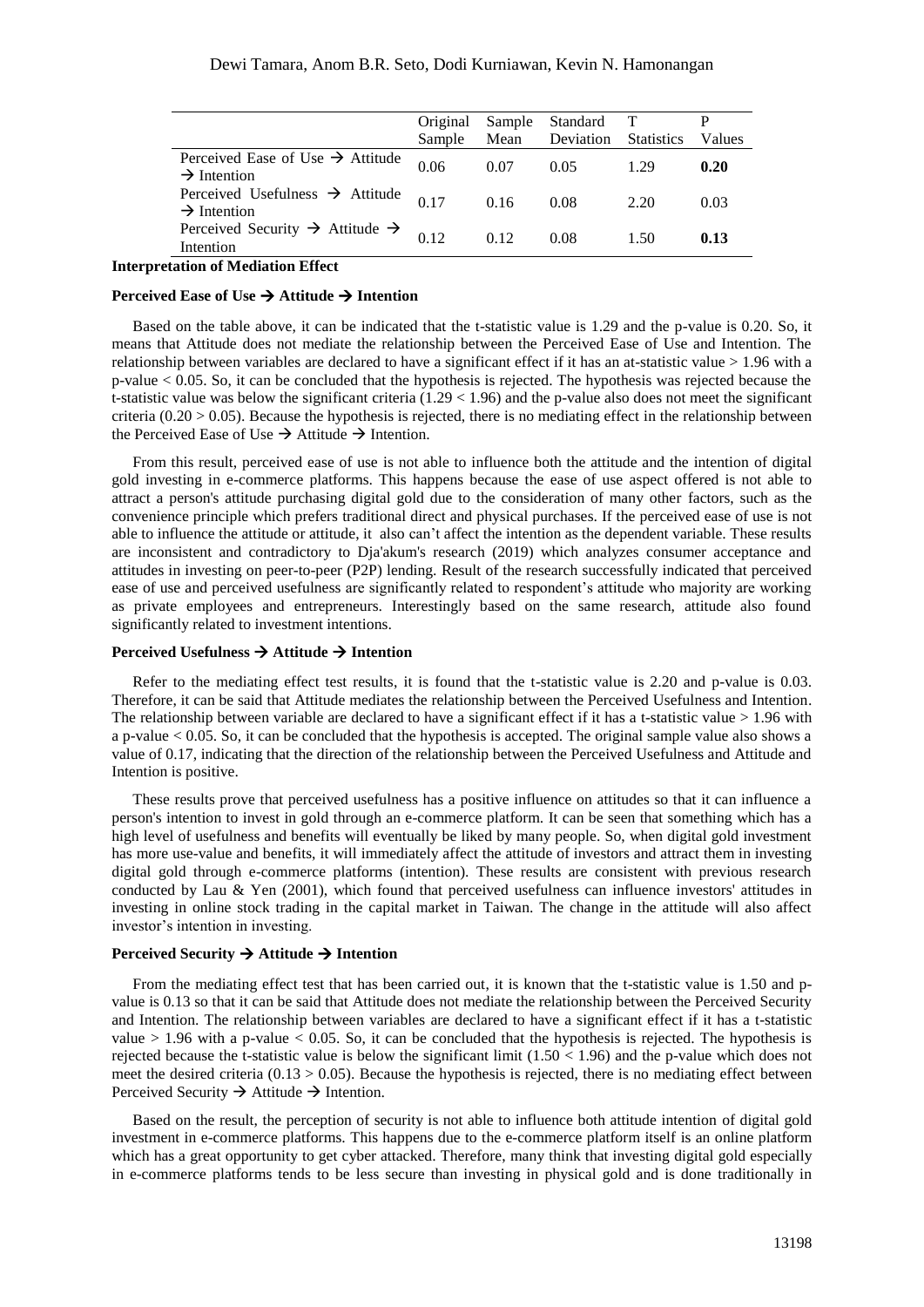|                                                                         | Original<br>Sample | Sample<br>Mean | Standard T<br>Deviation | <b>Statistics</b> | Values |
|-------------------------------------------------------------------------|--------------------|----------------|-------------------------|-------------------|--------|
| Perceived Ease of Use $\rightarrow$ Attitude<br>$\rightarrow$ Intention | 0.06               | 0.07           | 0.05                    | 1.29              | 0.20   |
| Perceived Usefulness $\rightarrow$ Attitude<br>$\rightarrow$ Intention  | 0.17               | 0.16           | 0.08                    | 2.20              | 0.03   |
| Perceived Security $\rightarrow$ Attitude $\rightarrow$<br>Intention    | 0.12               | 012            | 0.08                    | 1.50              | 0.13   |

**Interpretation of Mediation Effect**

# **Perceived Ease of Use**  $\rightarrow$  **Attitude**  $\rightarrow$  **Intention**

Based on the table above, it can be indicated that the t-statistic value is 1.29 and the p-value is 0.20. So, it means that Attitude does not mediate the relationship between the Perceived Ease of Use and Intention. The relationship between variables are declared to have a significant effect if it has an at-statistic value > 1.96 with a p-value < 0.05. So, it can be concluded that the hypothesis is rejected. The hypothesis was rejected because the t-statistic value was below the significant criteria (1.29 < 1.96) and the p-value also does not meet the significant criteria  $(0.20 > 0.05)$ . Because the hypothesis is rejected, there is no mediating effect in the relationship between the Perceived Ease of Use  $\rightarrow$  Attitude  $\rightarrow$  Intention.

From this result, perceived ease of use is not able to influence both the attitude and the intention of digital gold investing in e-commerce platforms. This happens because the ease of use aspect offered is not able to attract a person's attitude purchasing digital gold due to the consideration of many other factors, such as the convenience principle which prefers traditional direct and physical purchases. If the perceived ease of use is not able to influence the attitude or attitude, it also can't affect the intention as the dependent variable. These results are inconsistent and contradictory to Dja'akum's research (2019) which analyzes consumer acceptance and attitudes in investing on peer-to-peer (P2P) lending. Result of the research successfully indicated that perceived ease of use and perceived usefulness are significantly related to respondent's attitude who majority are working as private employees and entrepreneurs. Interestingly based on the same research, attitude also found significantly related to investment intentions.

# **Perceived Usefulness → Attitude → Intention**

Refer to the mediating effect test results, it is found that the t-statistic value is 2.20 and p-value is 0.03. Therefore, it can be said that Attitude mediates the relationship between the Perceived Usefulness and Intention. The relationship between variable are declared to have a significant effect if it has a t-statistic value  $> 1.96$  with a p-value < 0.05. So, it can be concluded that the hypothesis is accepted. The original sample value also shows a value of 0.17, indicating that the direction of the relationship between the Perceived Usefulness and Attitude and Intention is positive.

These results prove that perceived usefulness has a positive influence on attitudes so that it can influence a person's intention to invest in gold through an e-commerce platform. It can be seen that something which has a high level of usefulness and benefits will eventually be liked by many people. So, when digital gold investment has more use-value and benefits, it will immediately affect the attitude of investors and attract them in investing digital gold through e-commerce platforms (intention). These results are consistent with previous research conducted by Lau & Yen (2001), which found that perceived usefulness can influence investors' attitudes in investing in online stock trading in the capital market in Taiwan. The change in the attitude will also affect investor's intention in investing.

# **Perceived Security → Attitude → Intention**

From the mediating effect test that has been carried out, it is known that the t-statistic value is 1.50 and pvalue is 0.13 so that it can be said that Attitude does not mediate the relationship between the Perceived Security and Intention. The relationship between variables are declared to have a significant effect if it has a t-statistic value  $> 1.96$  with a p-value  $< 0.05$ . So, it can be concluded that the hypothesis is rejected. The hypothesis is rejected because the t-statistic value is below the significant limit  $(1.50 < 1.96)$  and the p-value which does not meet the desired criteria  $(0.13 > 0.05)$ . Because the hypothesis is rejected, there is no mediating effect between Perceived Security  $\rightarrow$  Attitude  $\rightarrow$  Intention.

Based on the result, the perception of security is not able to influence both attitude intention of digital gold investment in e-commerce platforms. This happens due to the e-commerce platform itself is an online platform which has a great opportunity to get cyber attacked. Therefore, many think that investing digital gold especially in e-commerce platforms tends to be less secure than investing in physical gold and is done traditionally in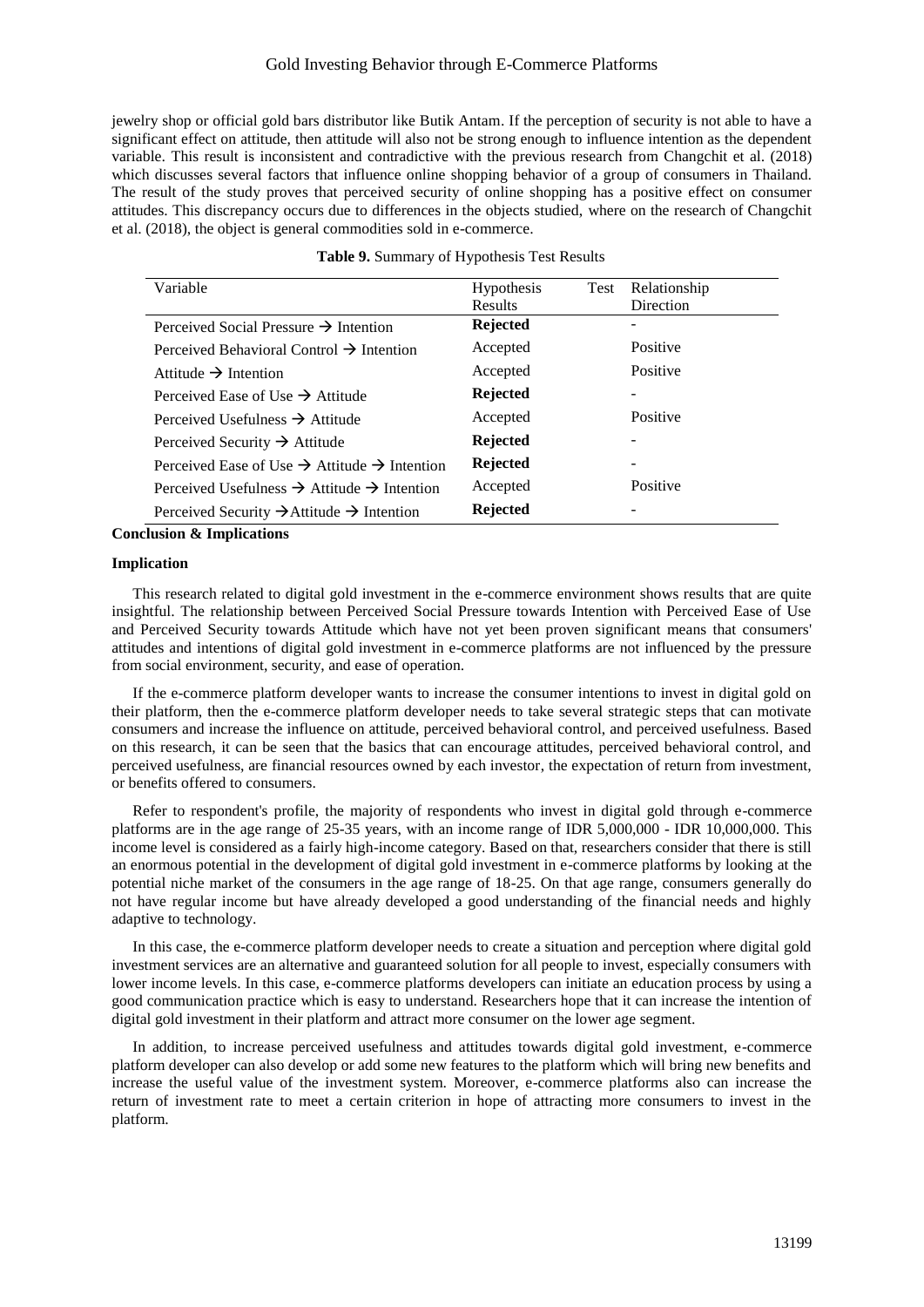jewelry shop or official gold bars distributor like Butik Antam. If the perception of security is not able to have a significant effect on attitude, then attitude will also not be strong enough to influence intention as the dependent variable. This result is inconsistent and contradictive with the previous research from Changchit et al. (2018) which discusses several factors that influence online shopping behavior of a group of consumers in Thailand. The result of the study proves that perceived security of online shopping has a positive effect on consumer attitudes. This discrepancy occurs due to differences in the objects studied, where on the research of Changchit et al. (2018), the object is general commodities sold in e-commerce.

|  |  | Table 9. Summary of Hypothesis Test Results |  |
|--|--|---------------------------------------------|--|
|--|--|---------------------------------------------|--|

| Variable                                                             | <b>Hypothesis</b> | Test | Relationship |  |
|----------------------------------------------------------------------|-------------------|------|--------------|--|
|                                                                      | <b>Results</b>    |      | Direction    |  |
| Perceived Social Pressure $\rightarrow$ Intention                    | <b>Rejected</b>   |      |              |  |
| Perceived Behavioral Control $\rightarrow$ Intention                 | Accepted          |      | Positive     |  |
| Attitude $\rightarrow$ Intention                                     | Accepted          |      | Positive     |  |
| Perceived Ease of Use $\rightarrow$ Attitude                         | <b>Rejected</b>   |      |              |  |
| Perceived Usefulness $\rightarrow$ Attitude                          | Accepted          |      | Positive     |  |
| Perceived Security $\rightarrow$ Attitude                            | <b>Rejected</b>   |      |              |  |
| Perceived Ease of Use $\rightarrow$ Attitude $\rightarrow$ Intention | <b>Rejected</b>   |      |              |  |
| Perceived Usefulness $\rightarrow$ Attitude $\rightarrow$ Intention  | Accepted          |      | Positive     |  |
| Perceived Security $\rightarrow$ Attitude $\rightarrow$ Intention    | <b>Rejected</b>   |      |              |  |

**Conclusion & Implications**

# **Implication**

This research related to digital gold investment in the e-commerce environment shows results that are quite insightful. The relationship between Perceived Social Pressure towards Intention with Perceived Ease of Use and Perceived Security towards Attitude which have not yet been proven significant means that consumers' attitudes and intentions of digital gold investment in e-commerce platforms are not influenced by the pressure from social environment, security, and ease of operation.

If the e-commerce platform developer wants to increase the consumer intentions to invest in digital gold on their platform, then the e-commerce platform developer needs to take several strategic steps that can motivate consumers and increase the influence on attitude, perceived behavioral control, and perceived usefulness. Based on this research, it can be seen that the basics that can encourage attitudes, perceived behavioral control, and perceived usefulness, are financial resources owned by each investor, the expectation of return from investment, or benefits offered to consumers.

Refer to respondent's profile, the majority of respondents who invest in digital gold through e-commerce platforms are in the age range of 25-35 years, with an income range of IDR 5,000,000 - IDR 10,000,000. This income level is considered as a fairly high-income category. Based on that, researchers consider that there is still an enormous potential in the development of digital gold investment in e-commerce platforms by looking at the potential niche market of the consumers in the age range of 18-25. On that age range, consumers generally do not have regular income but have already developed a good understanding of the financial needs and highly adaptive to technology.

In this case, the e-commerce platform developer needs to create a situation and perception where digital gold investment services are an alternative and guaranteed solution for all people to invest, especially consumers with lower income levels. In this case, e-commerce platforms developers can initiate an education process by using a good communication practice which is easy to understand. Researchers hope that it can increase the intention of digital gold investment in their platform and attract more consumer on the lower age segment.

In addition, to increase perceived usefulness and attitudes towards digital gold investment, e-commerce platform developer can also develop or add some new features to the platform which will bring new benefits and increase the useful value of the investment system. Moreover, e-commerce platforms also can increase the return of investment rate to meet a certain criterion in hope of attracting more consumers to invest in the platform.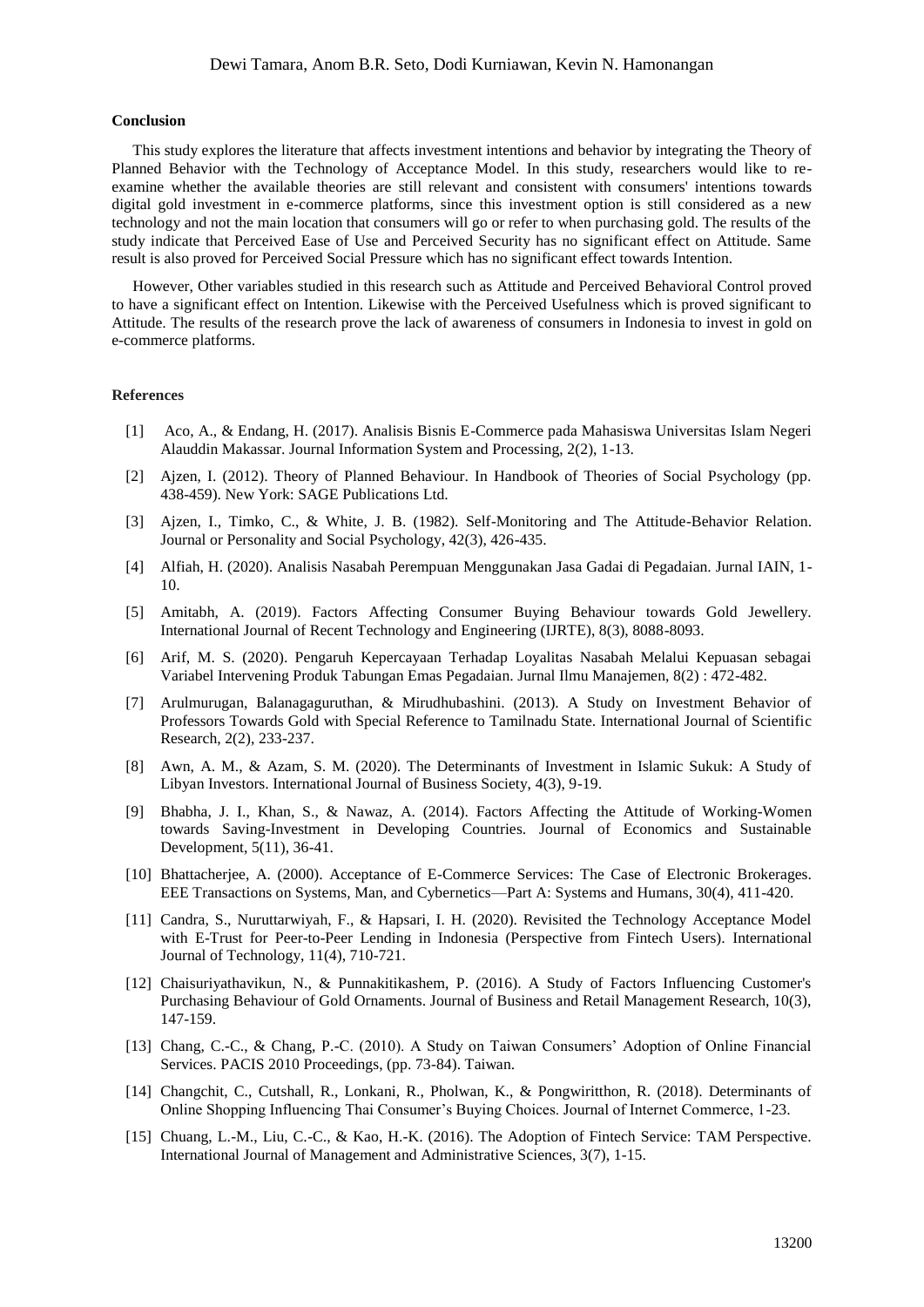### **Conclusion**

This study explores the literature that affects investment intentions and behavior by integrating the Theory of Planned Behavior with the Technology of Acceptance Model. In this study, researchers would like to reexamine whether the available theories are still relevant and consistent with consumers' intentions towards digital gold investment in e-commerce platforms, since this investment option is still considered as a new technology and not the main location that consumers will go or refer to when purchasing gold. The results of the study indicate that Perceived Ease of Use and Perceived Security has no significant effect on Attitude. Same result is also proved for Perceived Social Pressure which has no significant effect towards Intention.

However, Other variables studied in this research such as Attitude and Perceived Behavioral Control proved to have a significant effect on Intention. Likewise with the Perceived Usefulness which is proved significant to Attitude. The results of the research prove the lack of awareness of consumers in Indonesia to invest in gold on e-commerce platforms.

#### **References**

- [1] Aco, A., & Endang, H. (2017). Analisis Bisnis E-Commerce pada Mahasiswa Universitas Islam Negeri Alauddin Makassar. Journal Information System and Processing, 2(2), 1-13.
- [2] Ajzen, I. (2012). Theory of Planned Behaviour. In Handbook of Theories of Social Psychology (pp. 438-459). New York: SAGE Publications Ltd.
- [3] Ajzen, I., Timko, C., & White, J. B. (1982). Self-Monitoring and The Attitude-Behavior Relation. Journal or Personality and Social Psychology, 42(3), 426-435.
- [4] Alfiah, H. (2020). Analisis Nasabah Perempuan Menggunakan Jasa Gadai di Pegadaian. Jurnal IAIN, 1- 10.
- [5] Amitabh, A. (2019). Factors Affecting Consumer Buying Behaviour towards Gold Jewellery. International Journal of Recent Technology and Engineering (IJRTE), 8(3), 8088-8093.
- [6] Arif, M. S. (2020). Pengaruh Kepercayaan Terhadap Loyalitas Nasabah Melalui Kepuasan sebagai Variabel Intervening Produk Tabungan Emas Pegadaian. Jurnal Ilmu Manajemen, 8(2) : 472-482.
- [7] Arulmurugan, Balanagaguruthan, & Mirudhubashini. (2013). A Study on Investment Behavior of Professors Towards Gold with Special Reference to Tamilnadu State. International Journal of Scientific Research, 2(2), 233-237.
- [8] Awn, A. M., & Azam, S. M. (2020). The Determinants of Investment in Islamic Sukuk: A Study of Libyan Investors. International Journal of Business Society, 4(3), 9-19.
- [9] Bhabha, J. I., Khan, S., & Nawaz, A. (2014). Factors Affecting the Attitude of Working-Women towards Saving-Investment in Developing Countries. Journal of Economics and Sustainable Development, 5(11), 36-41.
- [10] Bhattacherjee, A. (2000). Acceptance of E-Commerce Services: The Case of Electronic Brokerages. EEE Transactions on Systems, Man, and Cybernetics—Part A: Systems and Humans, 30(4), 411-420.
- [11] Candra, S., Nuruttarwiyah, F., & Hapsari, I. H. (2020). Revisited the Technology Acceptance Model with E-Trust for Peer-to-Peer Lending in Indonesia (Perspective from Fintech Users). International Journal of Technology, 11(4), 710-721.
- [12] Chaisuriyathavikun, N., & Punnakitikashem, P. (2016). A Study of Factors Influencing Customer's Purchasing Behaviour of Gold Ornaments. Journal of Business and Retail Management Research, 10(3), 147-159.
- [13] Chang, C.-C., & Chang, P.-C. (2010). A Study on Taiwan Consumers' Adoption of Online Financial Services. PACIS 2010 Proceedings, (pp. 73-84). Taiwan.
- [14] Changchit, C., Cutshall, R., Lonkani, R., Pholwan, K., & Pongwiritthon, R. (2018). Determinants of Online Shopping Influencing Thai Consumer's Buying Choices. Journal of Internet Commerce, 1-23.
- [15] Chuang, L.-M., Liu, C.-C., & Kao, H.-K. (2016). The Adoption of Fintech Service: TAM Perspective. International Journal of Management and Administrative Sciences, 3(7), 1-15.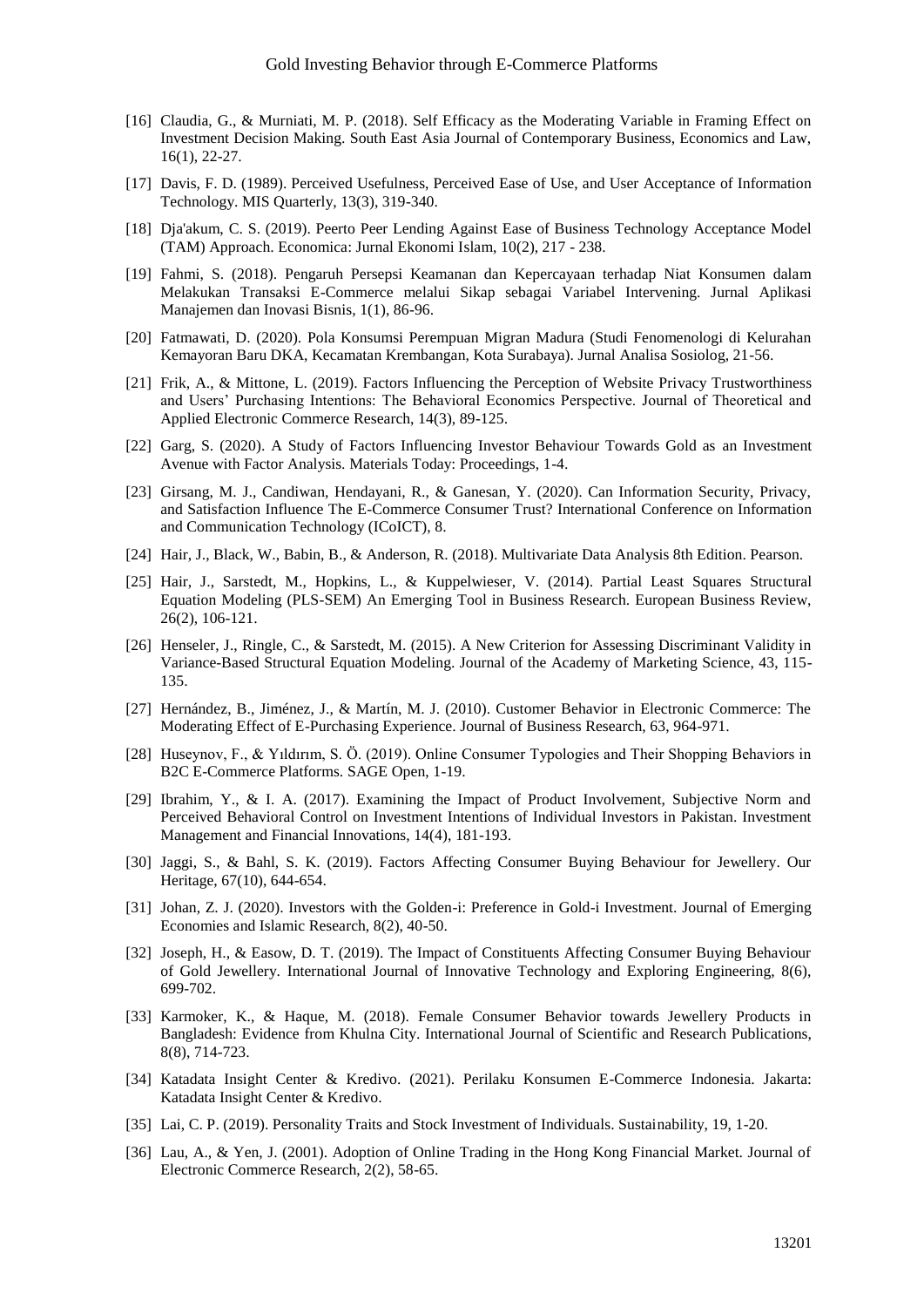- [16] Claudia, G., & Murniati, M. P. (2018). Self Efficacy as the Moderating Variable in Framing Effect on Investment Decision Making. South East Asia Journal of Contemporary Business, Economics and Law, 16(1), 22-27.
- [17] Davis, F. D. (1989). Perceived Usefulness, Perceived Ease of Use, and User Acceptance of Information Technology. MIS Quarterly, 13(3), 319-340.
- [18] Dja'akum, C. S. (2019). Peerto Peer Lending Against Ease of Business Technology Acceptance Model (TAM) Approach. Economica: Jurnal Ekonomi Islam, 10(2), 217 - 238.
- [19] Fahmi, S. (2018). Pengaruh Persepsi Keamanan dan Kepercayaan terhadap Niat Konsumen dalam Melakukan Transaksi E-Commerce melalui Sikap sebagai Variabel Intervening. Jurnal Aplikasi Manajemen dan Inovasi Bisnis, 1(1), 86-96.
- [20] Fatmawati, D. (2020). Pola Konsumsi Perempuan Migran Madura (Studi Fenomenologi di Kelurahan Kemayoran Baru DKA, Kecamatan Krembangan, Kota Surabaya). Jurnal Analisa Sosiolog, 21-56.
- [21] Frik, A., & Mittone, L. (2019). Factors Influencing the Perception of Website Privacy Trustworthiness and Users' Purchasing Intentions: The Behavioral Economics Perspective. Journal of Theoretical and Applied Electronic Commerce Research, 14(3), 89-125.
- [22] Garg, S. (2020). A Study of Factors Influencing Investor Behaviour Towards Gold as an Investment Avenue with Factor Analysis. Materials Today: Proceedings, 1-4.
- [23] Girsang, M. J., Candiwan, Hendayani, R., & Ganesan, Y. (2020). Can Information Security, Privacy, and Satisfaction Influence The E-Commerce Consumer Trust? International Conference on Information and Communication Technology (ICoICT), 8.
- [24] Hair, J., Black, W., Babin, B., & Anderson, R. (2018). Multivariate Data Analysis 8th Edition. Pearson.
- [25] Hair, J., Sarstedt, M., Hopkins, L., & Kuppelwieser, V. (2014). Partial Least Squares Structural Equation Modeling (PLS-SEM) An Emerging Tool in Business Research. European Business Review, 26(2), 106-121.
- [26] Henseler, J., Ringle, C., & Sarstedt, M. (2015). A New Criterion for Assessing Discriminant Validity in Variance-Based Structural Equation Modeling. Journal of the Academy of Marketing Science, 43, 115- 135.
- [27] Hernández, B., Jiménez, J., & Martín, M. J. (2010). Customer Behavior in Electronic Commerce: The Moderating Effect of E-Purchasing Experience. Journal of Business Research, 63, 964-971.
- [28] Huseynov, F., & Yıldırım, S. Ö. (2019). Online Consumer Typologies and Their Shopping Behaviors in B2C E-Commerce Platforms. SAGE Open, 1-19.
- [29] Ibrahim, Y., & I. A. (2017). Examining the Impact of Product Involvement, Subjective Norm and Perceived Behavioral Control on Investment Intentions of Individual Investors in Pakistan. Investment Management and Financial Innovations, 14(4), 181-193.
- [30] Jaggi, S., & Bahl, S. K. (2019). Factors Affecting Consumer Buying Behaviour for Jewellery. Our Heritage, 67(10), 644-654.
- [31] Johan, Z. J. (2020). Investors with the Golden-i: Preference in Gold-i Investment. Journal of Emerging Economies and Islamic Research, 8(2), 40-50.
- [32] Joseph, H., & Easow, D. T. (2019). The Impact of Constituents Affecting Consumer Buying Behaviour of Gold Jewellery. International Journal of Innovative Technology and Exploring Engineering, 8(6), 699-702.
- [33] Karmoker, K., & Haque, M. (2018). Female Consumer Behavior towards Jewellery Products in Bangladesh: Evidence from Khulna City. International Journal of Scientific and Research Publications, 8(8), 714-723.
- [34] Katadata Insight Center & Kredivo. (2021). Perilaku Konsumen E-Commerce Indonesia. Jakarta: Katadata Insight Center & Kredivo.
- [35] Lai, C. P. (2019). Personality Traits and Stock Investment of Individuals. Sustainability, 19, 1-20.
- [36] Lau, A., & Yen, J. (2001). Adoption of Online Trading in the Hong Kong Financial Market. Journal of Electronic Commerce Research, 2(2), 58-65.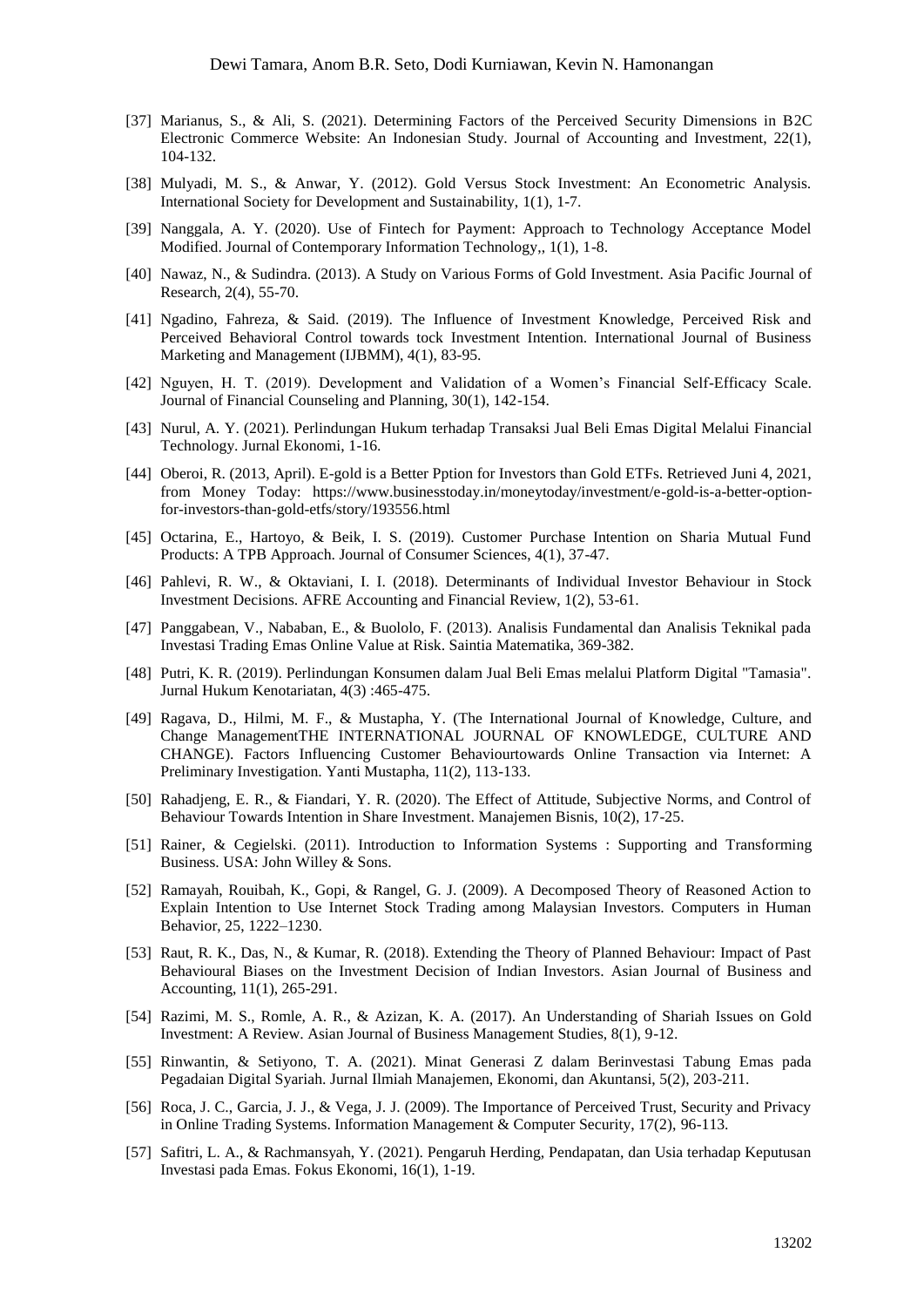- [37] Marianus, S., & Ali, S. (2021). Determining Factors of the Perceived Security Dimensions in B2C Electronic Commerce Website: An Indonesian Study. Journal of Accounting and Investment, 22(1), 104-132.
- [38] Mulyadi, M. S., & Anwar, Y. (2012). Gold Versus Stock Investment: An Econometric Analysis. International Society for Development and Sustainability, 1(1), 1-7.
- [39] Nanggala, A. Y. (2020). Use of Fintech for Payment: Approach to Technology Acceptance Model Modified. Journal of Contemporary Information Technology,, 1(1), 1-8.
- [40] Nawaz, N., & Sudindra. (2013). A Study on Various Forms of Gold Investment. Asia Pacific Journal of Research, 2(4), 55-70.
- [41] Ngadino, Fahreza, & Said. (2019). The Influence of Investment Knowledge, Perceived Risk and Perceived Behavioral Control towards tock Investment Intention. International Journal of Business Marketing and Management (IJBMM), 4(1), 83-95.
- [42] Nguyen, H. T. (2019). Development and Validation of a Women's Financial Self-Efficacy Scale. Journal of Financial Counseling and Planning, 30(1), 142-154.
- [43] Nurul, A. Y. (2021). Perlindungan Hukum terhadap Transaksi Jual Beli Emas Digital Melalui Financial Technology. Jurnal Ekonomi, 1-16.
- [44] Oberoi, R. (2013, April). E-gold is a Better Pption for Investors than Gold ETFs. Retrieved Juni 4, 2021, from Money Today: https://www.businesstoday.in/moneytoday/investment/e-gold-is-a-better-optionfor-investors-than-gold-etfs/story/193556.html
- [45] Octarina, E., Hartoyo, & Beik, I. S. (2019). Customer Purchase Intention on Sharia Mutual Fund Products: A TPB Approach. Journal of Consumer Sciences, 4(1), 37-47.
- [46] Pahlevi, R. W., & Oktaviani, I. I. (2018). Determinants of Individual Investor Behaviour in Stock Investment Decisions. AFRE Accounting and Financial Review, 1(2), 53-61.
- [47] Panggabean, V., Nababan, E., & Buololo, F. (2013). Analisis Fundamental dan Analisis Teknikal pada Investasi Trading Emas Online Value at Risk. Saintia Matematika, 369-382.
- [48] Putri, K. R. (2019). Perlindungan Konsumen dalam Jual Beli Emas melalui Platform Digital "Tamasia". Jurnal Hukum Kenotariatan, 4(3) :465-475.
- [49] Ragava, D., Hilmi, M. F., & Mustapha, Y. (The International Journal of Knowledge, Culture, and Change ManagementTHE INTERNATIONAL JOURNAL OF KNOWLEDGE, CULTURE AND CHANGE). Factors Influencing Customer Behaviourtowards Online Transaction via Internet: A Preliminary Investigation. Yanti Mustapha, 11(2), 113-133.
- [50] Rahadjeng, E. R., & Fiandari, Y. R. (2020). The Effect of Attitude, Subjective Norms, and Control of Behaviour Towards Intention in Share Investment. Manajemen Bisnis, 10(2), 17-25.
- [51] Rainer, & Cegielski. (2011). Introduction to Information Systems : Supporting and Transforming Business. USA: John Willey & Sons.
- [52] Ramayah, Rouibah, K., Gopi, & Rangel, G. J. (2009). A Decomposed Theory of Reasoned Action to Explain Intention to Use Internet Stock Trading among Malaysian Investors. Computers in Human Behavior, 25, 1222–1230.
- [53] Raut, R. K., Das, N., & Kumar, R. (2018). Extending the Theory of Planned Behaviour: Impact of Past Behavioural Biases on the Investment Decision of Indian Investors. Asian Journal of Business and Accounting, 11(1), 265-291.
- [54] Razimi, M. S., Romle, A. R., & Azizan, K. A. (2017). An Understanding of Shariah Issues on Gold Investment: A Review. Asian Journal of Business Management Studies, 8(1), 9-12.
- [55] Rinwantin, & Setiyono, T. A. (2021). Minat Generasi Z dalam Berinvestasi Tabung Emas pada Pegadaian Digital Syariah. Jurnal Ilmiah Manajemen, Ekonomi, dan Akuntansi, 5(2), 203-211.
- [56] Roca, J. C., Garcia, J. J., & Vega, J. J. (2009). The Importance of Perceived Trust, Security and Privacy in Online Trading Systems. Information Management & Computer Security, 17(2), 96-113.
- [57] Safitri, L. A., & Rachmansyah, Y. (2021). Pengaruh Herding, Pendapatan, dan Usia terhadap Keputusan Investasi pada Emas. Fokus Ekonomi, 16(1), 1-19.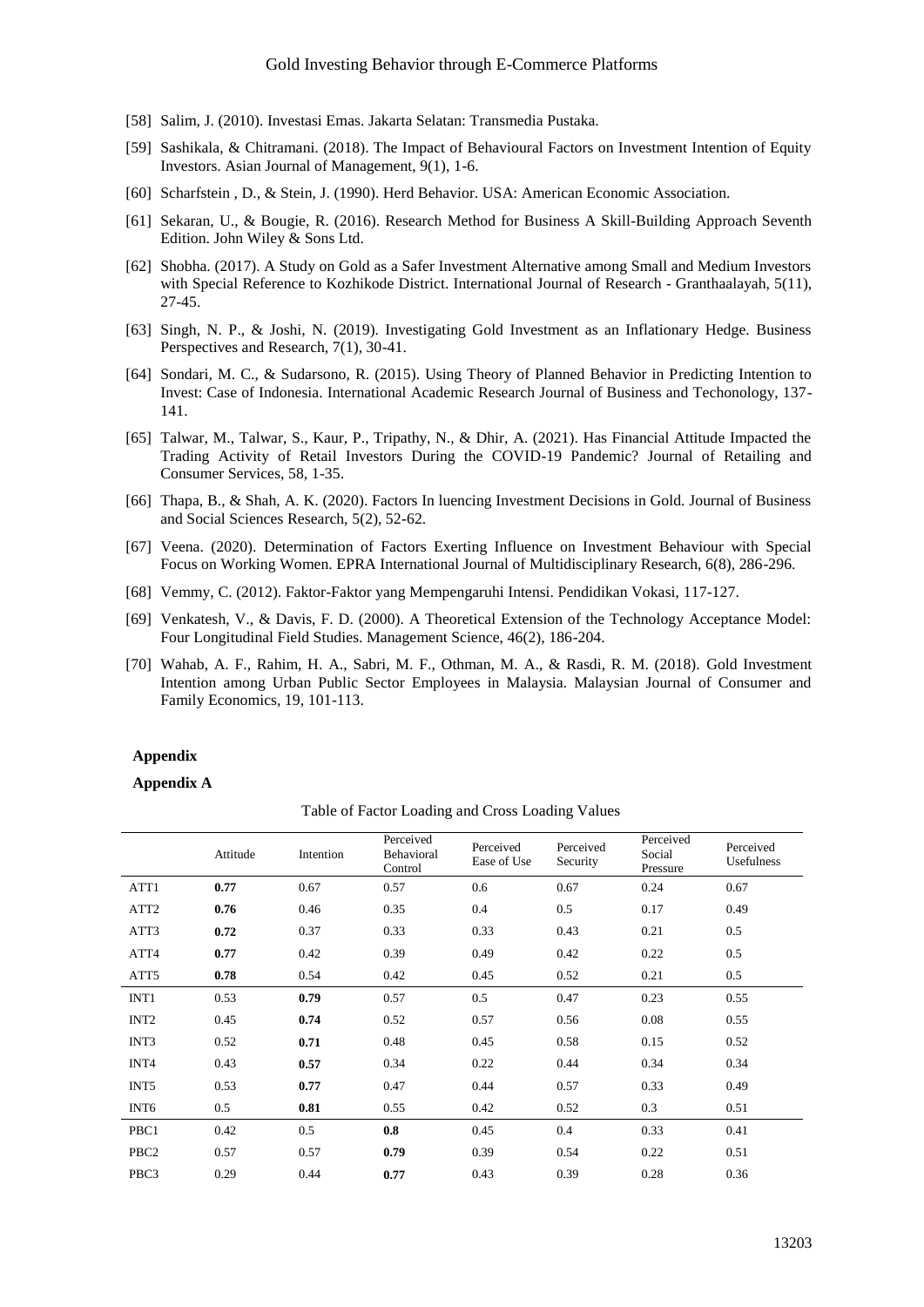- [58] Salim, J. (2010). Investasi Emas. Jakarta Selatan: Transmedia Pustaka.
- [59] Sashikala, & Chitramani. (2018). The Impact of Behavioural Factors on Investment Intention of Equity Investors. Asian Journal of Management, 9(1), 1-6.
- [60] Scharfstein , D., & Stein, J. (1990). Herd Behavior. USA: American Economic Association.
- [61] Sekaran, U., & Bougie, R. (2016). Research Method for Business A Skill-Building Approach Seventh Edition. John Wiley & Sons Ltd.
- [62] Shobha. (2017). A Study on Gold as a Safer Investment Alternative among Small and Medium Investors with Special Reference to Kozhikode District. International Journal of Research - Granthaalayah, 5(11), 27-45.
- [63] Singh, N. P., & Joshi, N. (2019). Investigating Gold Investment as an Inflationary Hedge. Business Perspectives and Research, 7(1), 30-41.
- [64] Sondari, M. C., & Sudarsono, R. (2015). Using Theory of Planned Behavior in Predicting Intention to Invest: Case of Indonesia. International Academic Research Journal of Business and Techonology, 137- 141.
- [65] Talwar, M., Talwar, S., Kaur, P., Tripathy, N., & Dhir, A. (2021). Has Financial Attitude Impacted the Trading Activity of Retail Investors During the COVID-19 Pandemic? Journal of Retailing and Consumer Services, 58, 1-35.
- [66] Thapa, B., & Shah, A. K. (2020). Factors In luencing Investment Decisions in Gold. Journal of Business and Social Sciences Research, 5(2), 52-62.
- [67] Veena. (2020). Determination of Factors Exerting Influence on Investment Behaviour with Special Focus on Working Women. EPRA International Journal of Multidisciplinary Research, 6(8), 286-296.
- [68] Vemmy, C. (2012). Faktor-Faktor yang Mempengaruhi Intensi. Pendidikan Vokasi, 117-127.
- [69] Venkatesh, V., & Davis, F. D. (2000). A Theoretical Extension of the Technology Acceptance Model: Four Longitudinal Field Studies. Management Science, 46(2), 186-204.
- [70] Wahab, A. F., Rahim, H. A., Sabri, M. F., Othman, M. A., & Rasdi, R. M. (2018). Gold Investment Intention among Urban Public Sector Employees in Malaysia. Malaysian Journal of Consumer and Family Economics, 19, 101-113.

### **Appendix**

**Appendix A**

|                  | Attitude | Intention | Perceived<br>Behavioral<br>Control | Perceived<br>Ease of Use | Perceived<br>Security | Perceived<br>Social<br>Pressure | Perceived<br>Usefulness |
|------------------|----------|-----------|------------------------------------|--------------------------|-----------------------|---------------------------------|-------------------------|
| ATT1             | 0.77     | 0.67      | 0.57                               | 0.6                      | 0.67                  | 0.24                            | 0.67                    |
| ATT <sub>2</sub> | 0.76     | 0.46      | 0.35                               | 0.4                      | 0.5                   | 0.17                            | 0.49                    |
| ATT3             | 0.72     | 0.37      | 0.33                               | 0.33                     | 0.43                  | 0.21                            | 0.5                     |
| ATT4             | 0.77     | 0.42      | 0.39                               | 0.49                     | 0.42                  | 0.22                            | 0.5                     |
| ATT5             | 0.78     | 0.54      | 0.42                               | 0.45                     | 0.52                  | 0.21                            | 0.5                     |
| INT <sub>1</sub> | 0.53     | 0.79      | 0.57                               | 0.5                      | 0.47                  | 0.23                            | 0.55                    |
| INT <sub>2</sub> | 0.45     | 0.74      | 0.52                               | 0.57                     | 0.56                  | 0.08                            | 0.55                    |
| INT3             | 0.52     | 0.71      | 0.48                               | 0.45                     | 0.58                  | 0.15                            | 0.52                    |
| INT <sub>4</sub> | 0.43     | 0.57      | 0.34                               | 0.22                     | 0.44                  | 0.34                            | 0.34                    |
| INT <sub>5</sub> | 0.53     | 0.77      | 0.47                               | 0.44                     | 0.57                  | 0.33                            | 0.49                    |
| INT <sub>6</sub> | 0.5      | 0.81      | 0.55                               | 0.42                     | 0.52                  | 0.3                             | 0.51                    |
| PBC1             | 0.42     | 0.5       | 0.8                                | 0.45                     | 0.4                   | 0.33                            | 0.41                    |
| PBC <sub>2</sub> | 0.57     | 0.57      | 0.79                               | 0.39                     | 0.54                  | 0.22                            | 0.51                    |
| PBC3             | 0.29     | 0.44      | 0.77                               | 0.43                     | 0.39                  | 0.28                            | 0.36                    |

Table of Factor Loading and Cross Loading Values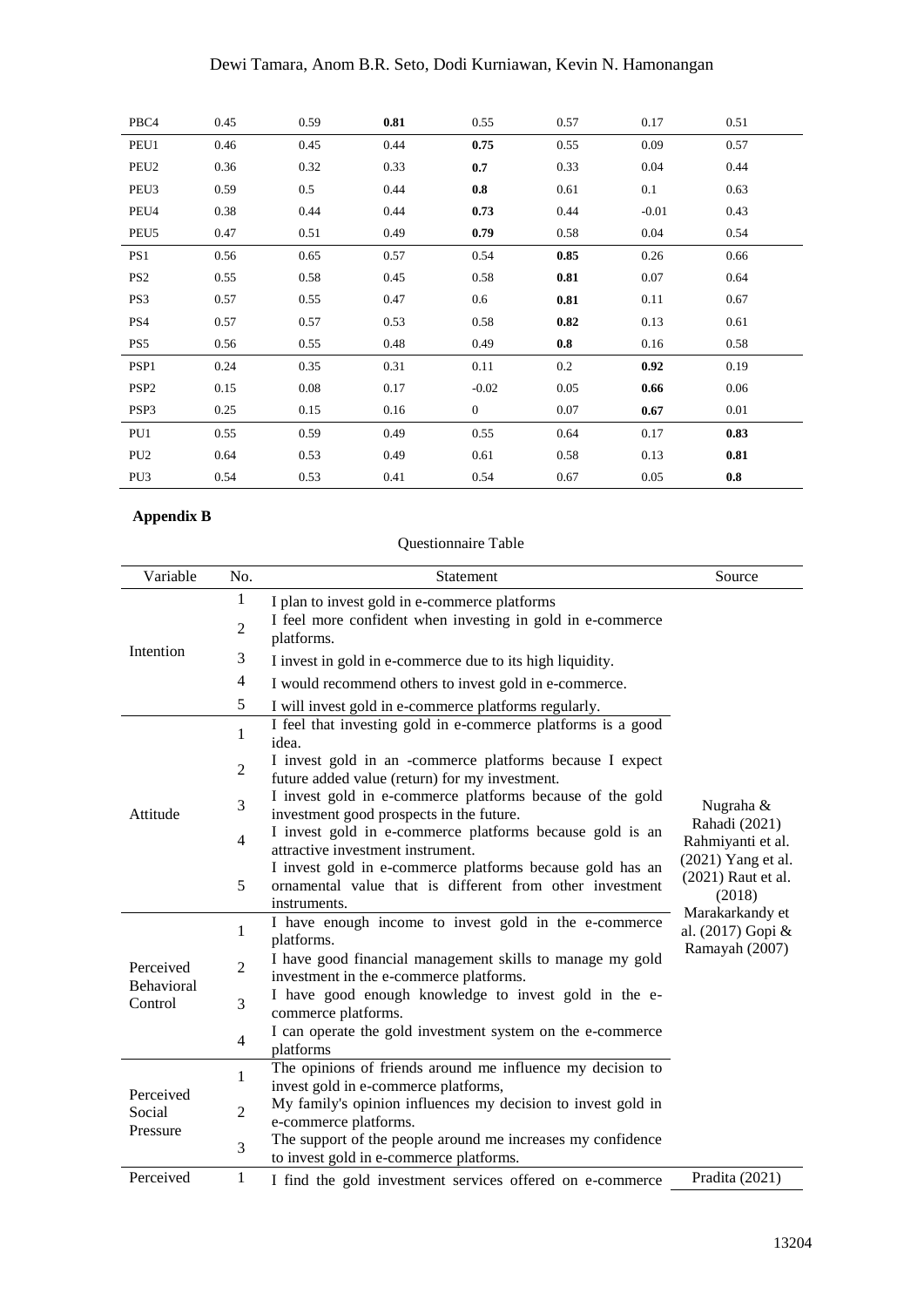| PBC4             | 0.45 | 0.59 | 0.81 | 0.55           | 0.57 | 0.17    | 0.51 |  |
|------------------|------|------|------|----------------|------|---------|------|--|
| PEU1             | 0.46 | 0.45 | 0.44 | 0.75           | 0.55 | 0.09    | 0.57 |  |
| PEU <sub>2</sub> | 0.36 | 0.32 | 0.33 | 0.7            | 0.33 | 0.04    | 0.44 |  |
| PEU <sub>3</sub> | 0.59 | 0.5  | 0.44 | 0.8            | 0.61 | 0.1     | 0.63 |  |
| PEU4             | 0.38 | 0.44 | 0.44 | 0.73           | 0.44 | $-0.01$ | 0.43 |  |
| PEU <sub>5</sub> | 0.47 | 0.51 | 0.49 | 0.79           | 0.58 | 0.04    | 0.54 |  |
| PS <sub>1</sub>  | 0.56 | 0.65 | 0.57 | 0.54           | 0.85 | 0.26    | 0.66 |  |
| PS <sub>2</sub>  | 0.55 | 0.58 | 0.45 | 0.58           | 0.81 | 0.07    | 0.64 |  |
| PS3              | 0.57 | 0.55 | 0.47 | 0.6            | 0.81 | 0.11    | 0.67 |  |
| PS4              | 0.57 | 0.57 | 0.53 | 0.58           | 0.82 | 0.13    | 0.61 |  |
| PS5              | 0.56 | 0.55 | 0.48 | 0.49           | 0.8  | 0.16    | 0.58 |  |
| PSP <sub>1</sub> | 0.24 | 0.35 | 0.31 | 0.11           | 0.2  | 0.92    | 0.19 |  |
| PSP <sub>2</sub> | 0.15 | 0.08 | 0.17 | $-0.02$        | 0.05 | 0.66    | 0.06 |  |
| PSP <sub>3</sub> | 0.25 | 0.15 | 0.16 | $\overline{0}$ | 0.07 | 0.67    | 0.01 |  |
| PU1              | 0.55 | 0.59 | 0.49 | 0.55           | 0.64 | 0.17    | 0.83 |  |
| PU <sub>2</sub>  | 0.64 | 0.53 | 0.49 | 0.61           | 0.58 | 0.13    | 0.81 |  |
| PU <sub>3</sub>  | 0.54 | 0.53 | 0.41 | 0.54           | 0.67 | 0.05    | 0.8  |  |

# **Appendix B**

# Questionnaire Table

| Variable                        | No.            | Statement                                                                                                                             | Source                                          |
|---------------------------------|----------------|---------------------------------------------------------------------------------------------------------------------------------------|-------------------------------------------------|
|                                 | 1              | I plan to invest gold in e-commerce platforms                                                                                         |                                                 |
|                                 | 2              | I feel more confident when investing in gold in e-commerce<br>platforms.                                                              |                                                 |
| Intention                       | 3              | I invest in gold in e-commerce due to its high liquidity.                                                                             |                                                 |
|                                 | $\overline{4}$ | I would recommend others to invest gold in e-commerce.                                                                                |                                                 |
|                                 | 5              | I will invest gold in e-commerce platforms regularly.                                                                                 |                                                 |
|                                 | 1              | I feel that investing gold in e-commerce platforms is a good<br>idea.                                                                 |                                                 |
|                                 | $\overline{2}$ | I invest gold in an -commerce platforms because I expect<br>future added value (return) for my investment.                            |                                                 |
| Attitude                        | 3              | I invest gold in e-commerce platforms because of the gold<br>investment good prospects in the future.                                 | Nugraha &<br>Rahadi (2021)                      |
|                                 | $\overline{4}$ | I invest gold in e-commerce platforms because gold is an<br>attractive investment instrument.                                         | Rahmiyanti et al.<br>(2021) Yang et al.         |
|                                 | 5              | I invest gold in e-commerce platforms because gold has an<br>ornamental value that is different from other investment<br>instruments. | (2021) Raut et al.<br>(2018)<br>Marakarkandy et |
|                                 | 1              | I have enough income to invest gold in the e-commerce<br>platforms.                                                                   | al. (2017) Gopi &<br>Ramayah (2007)             |
| Perceived<br>Behavioral         | $\overline{2}$ | I have good financial management skills to manage my gold<br>investment in the e-commerce platforms.                                  |                                                 |
| Control                         | 3              | I have good enough knowledge to invest gold in the e-<br>commerce platforms.                                                          |                                                 |
|                                 | $\overline{4}$ | I can operate the gold investment system on the e-commerce<br>platforms                                                               |                                                 |
| Perceived<br>Social<br>Pressure | 1              | The opinions of friends around me influence my decision to<br>invest gold in e-commerce platforms,                                    |                                                 |
|                                 | 2              | My family's opinion influences my decision to invest gold in<br>e-commerce platforms.                                                 |                                                 |
|                                 | 3              | The support of the people around me increases my confidence<br>to invest gold in e-commerce platforms.                                |                                                 |
| Perceived                       | 1              | I find the gold investment services offered on e-commerce                                                                             | Pradita (2021)                                  |